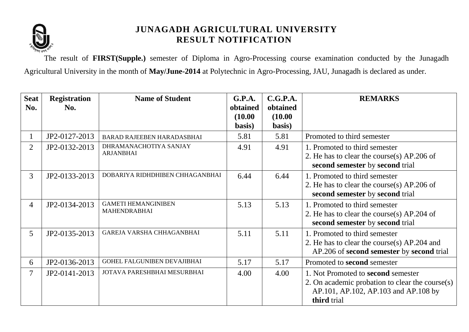

The result of **FIRST(Supple.)** semester of Diploma in Agro-Processing course examination conducted by the Junagadh Agricultural University in the month of **May/June-2014** at Polytechnic in Agro-Processing, JAU, Junagadh is declared as under.

| <b>Seat</b><br>No. | <b>Registration</b><br>No. | <b>Name of Student</b>                            | <b>G.P.A.</b><br>obtained | C.G.P.A.<br>obtained | <b>REMARKS</b>                                                                                                                                  |
|--------------------|----------------------------|---------------------------------------------------|---------------------------|----------------------|-------------------------------------------------------------------------------------------------------------------------------------------------|
|                    |                            |                                                   | (10.00)<br>basis)         | (10.00)<br>basis)    |                                                                                                                                                 |
|                    | JP2-0127-2013              | BARAD RAJEEBEN HARADASBHAI                        | 5.81                      | 5.81                 | Promoted to third semester                                                                                                                      |
| $\overline{2}$     | JP2-0132-2013              | DHRAMANACHOTIYA SANJAY<br><b>ARJANBHAI</b>        | 4.91                      | 4.91                 | 1. Promoted to third semester<br>2. He has to clear the course(s) AP.206 of<br>second semester by second trial                                  |
| $\overline{3}$     | JP2-0133-2013              | DOBARIYA RIDHDHIBEN CHHAGANBHAI                   | 6.44                      | 6.44                 | 1. Promoted to third semester<br>2. He has to clear the course(s) AP.206 of<br>second semester by second trial                                  |
| $\overline{4}$     | JP2-0134-2013              | <b>GAMETI HEMANGINIBEN</b><br><b>MAHENDRABHAI</b> | 5.13                      | 5.13                 | 1. Promoted to third semester<br>2. He has to clear the course(s) AP.204 of<br>second semester by second trial                                  |
| 5                  | JP2-0135-2013              | GAREJA VARSHA CHHAGANBHAI                         | 5.11                      | 5.11                 | 1. Promoted to third semester<br>2. He has to clear the course(s) AP.204 and<br>AP.206 of second semester by second trial                       |
| 6                  | JP2-0136-2013              | GOHEL FALGUNIBEN DEVAJIBHAI                       | 5.17                      | 5.17                 | Promoted to second semester                                                                                                                     |
|                    | JP2-0141-2013              | JOTAVA PARESHBHAI MESURBHAI                       | 4.00                      | 4.00                 | 1. Not Promoted to second semester<br>2. On academic probation to clear the course $(s)$<br>AP.101, AP.102, AP.103 and AP.108 by<br>third trial |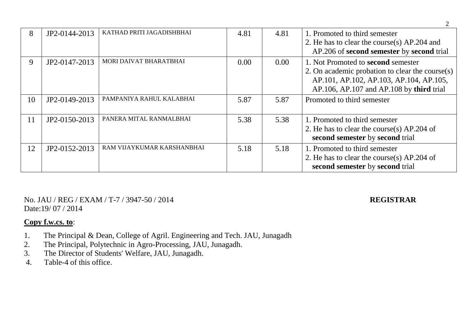| 8  | JP2-0144-2013 | KATHAD PRITI JAGADISHBHAI  | 4.81 | 4.81           | 1. Promoted to third semester<br>2. He has to clear the course(s) AP.204 and<br>AP.206 of second semester by second trial                                                                  |  |
|----|---------------|----------------------------|------|----------------|--------------------------------------------------------------------------------------------------------------------------------------------------------------------------------------------|--|
| 9  | JP2-0147-2013 | MORI DAIVAT BHARATBHAI     | 0.00 | $0.00^{\circ}$ | 1. Not Promoted to <b>second</b> semester<br>2. On academic probation to clear the course(s)<br>AP.101, AP.102, AP.103, AP.104, AP.105,<br>$AP.106$ , $AP.107$ and $AP.108$ by third trial |  |
| 10 | JP2-0149-2013 | PAMPANIYA RAHUL KALABHAI   | 5.87 | 5.87           | Promoted to third semester                                                                                                                                                                 |  |
| 11 | JP2-0150-2013 | PANERA MITAL RANMALBHAI    | 5.38 | 5.38           | 1. Promoted to third semester<br>2. He has to clear the course(s) AP.204 of<br>second semester by second trial                                                                             |  |
| 12 | JP2-0152-2013 | RAM VIJAYKUMAR KARSHANBHAI | 5.18 | 5.18           | 1. Promoted to third semester<br>2. He has to clear the course(s) AP.204 of<br>second semester by second trial                                                                             |  |

No. JAU / REG / EXAM / T-7 / 3947-50 / 2014 **REGISTRAR** Date:19/ 07 / 2014

2

- 1. The Principal & Dean, College of Agril. Engineering and Tech. JAU, Junagadh<br>2. The Principal. Polytechnic in Agro-Processing. JAU, Junagadh.
- 2. The Principal, Polytechnic in Agro-Processing, JAU, Junagadh.<br>3. The Director of Students' Welfare, JAU, Junagadh.
- 3. The Director of Students' Welfare, JAU, Junagadh.<br>4. Table-4 of this office.
- Table-4 of this office.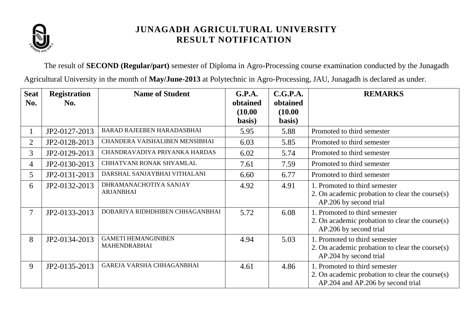

The result of **SECOND (Regular/part)** semester of Diploma in Agro-Processing course examination conducted by the Junagadh Agricultural University in the month of **May/June-2013** at Polytechnic in Agro-Processing, JAU, Junagadh is declared as under.

| <b>Seat</b><br>No. | <b>Registration</b><br>No. | <b>Name of Student</b>                            | G.P.A.<br>obtained<br>(10.00)<br>basis) | C.G.P.A.<br>obtained<br>(10.00)<br>basis) | <b>REMARKS</b>                                                                                                        |  |
|--------------------|----------------------------|---------------------------------------------------|-----------------------------------------|-------------------------------------------|-----------------------------------------------------------------------------------------------------------------------|--|
| $\bf{l}$           | JP2-0127-2013              | BARAD RAJEEBEN HARADASBHAI                        | 5.95                                    | 5.88                                      | Promoted to third semester                                                                                            |  |
| $\overline{2}$     | JP2-0128-2013              | CHANDERA VAISHALIBEN MENSIBHAI                    | 6.03                                    | 5.85                                      | Promoted to third semester                                                                                            |  |
| $\overline{3}$     | JP2-0129-2013              | CHANDRAVADIYA PRIYANKA HARDAS                     | 6.02                                    | 5.74                                      | Promoted to third semester                                                                                            |  |
| $\overline{4}$     | JP2-0130-2013              | CHHATVANI RONAK SHYAMLAL                          | 7.61                                    | 7.59                                      | Promoted to third semester                                                                                            |  |
| 5                  | JP2-0131-2013              | DARSHAL SANJAYBHAI VITHALANI                      | 6.60                                    | 6.77                                      | Promoted to third semester                                                                                            |  |
| 6                  | JP2-0132-2013              | DHRAMANACHOTIYA SANJAY<br><b>ARJANBHAI</b>        | 4.92                                    | 4.91                                      | 1. Promoted to third semester<br>2. On academic probation to clear the course(s)<br>AP.206 by second trial            |  |
| 7                  | JP2-0133-2013              | DOBARIYA RIDHDHIBEN CHHAGANBHAI                   | 5.72                                    | 6.08                                      | 1. Promoted to third semester<br>2. On academic probation to clear the course(s)<br>AP.206 by second trial            |  |
| 8                  | JP2-0134-2013              | <b>GAMETI HEMANGINIBEN</b><br><b>MAHENDRABHAI</b> | 4.94                                    | 5.03                                      | 1. Promoted to third semester<br>2. On academic probation to clear the course(s)<br>AP.204 by second trial            |  |
| 9                  | JP2-0135-2013              | GAREJA VARSHA CHHAGANBHAI                         | 4.61                                    | 4.86                                      | 1. Promoted to third semester<br>2. On academic probation to clear the course(s)<br>AP.204 and AP.206 by second trial |  |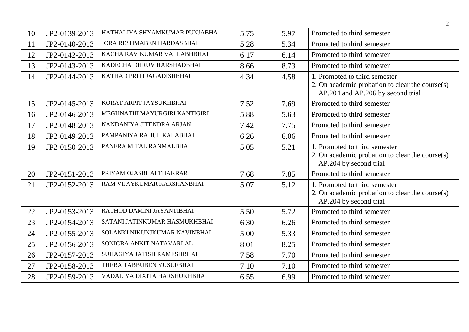|    |               |                               |      |      | $\overline{2}$                                                                                                           |
|----|---------------|-------------------------------|------|------|--------------------------------------------------------------------------------------------------------------------------|
| 10 | JP2-0139-2013 | HATHALIYA SHYAMKUMAR PUNJABHA | 5.75 | 5.97 | Promoted to third semester                                                                                               |
| 11 | JP2-0140-2013 | JORA RESHMABEN HARDASBHAI     | 5.28 | 5.34 | Promoted to third semester                                                                                               |
| 12 | JP2-0142-2013 | KACHA RAVIKUMAR VALLABHBHAI   | 6.17 | 6.14 | Promoted to third semester                                                                                               |
| 13 | JP2-0143-2013 | KADECHA DHRUV HARSHADBHAI     | 8.66 | 8.73 | Promoted to third semester                                                                                               |
| 14 | JP2-0144-2013 | KATHAD PRITI JAGADISHBHAI     | 4.34 | 4.58 | 1. Promoted to third semester<br>2. On academic probation to clear the course $(s)$<br>AP.204 and AP.206 by second trial |
| 15 | JP2-0145-2013 | KORAT ARPIT JAYSUKHBHAI       | 7.52 | 7.69 | Promoted to third semester                                                                                               |
| 16 | JP2-0146-2013 | MEGHNATHI MAYURGIRI KANTIGIRI | 5.88 | 5.63 | Promoted to third semester                                                                                               |
| 17 | JP2-0148-2013 | NANDANIYA JITENDRA ARJAN      | 7.42 | 7.75 | Promoted to third semester                                                                                               |
| 18 | JP2-0149-2013 | PAMPANIYA RAHUL KALABHAI      | 6.26 | 6.06 | Promoted to third semester                                                                                               |
| 19 | JP2-0150-2013 | PANERA MITAL RANMALBHAI       | 5.05 | 5.21 | 1. Promoted to third semester<br>2. On academic probation to clear the course(s)<br>AP.204 by second trial               |
| 20 | JP2-0151-2013 | PRIYAM OJASBHAI THAKRAR       | 7.68 | 7.85 | Promoted to third semester                                                                                               |
| 21 | JP2-0152-2013 | RAM VIJAYKUMAR KARSHANBHAI    | 5.07 | 5.12 | 1. Promoted to third semester<br>2. On academic probation to clear the course $(s)$<br>AP.204 by second trial            |
| 22 | JP2-0153-2013 | RATHOD DAMINI JAYANTIBHAI     | 5.50 | 5.72 | Promoted to third semester                                                                                               |
| 23 | JP2-0154-2013 | SATANI JATINKUMAR HASMUKHBHAI | 6.30 | 6.26 | Promoted to third semester                                                                                               |
| 24 | JP2-0155-2013 | SOLANKI NIKUNJKUMAR NAVINBHAI | 5.00 | 5.33 | Promoted to third semester                                                                                               |
| 25 | JP2-0156-2013 | SONIGRA ANKIT NATAVARLAL      | 8.01 | 8.25 | Promoted to third semester                                                                                               |
| 26 | JP2-0157-2013 | SUHAGIYA JATISH RAMESHBHAI    | 7.58 | 7.70 | Promoted to third semester                                                                                               |
| 27 | JP2-0158-2013 | THEBA TABBUBEN YUSUFBHAI      | 7.10 | 7.10 | Promoted to third semester                                                                                               |
| 28 | JP2-0159-2013 | VADALIYA DIXITA HARSHUKHBHAI  | 6.55 | 6.99 | Promoted to third semester                                                                                               |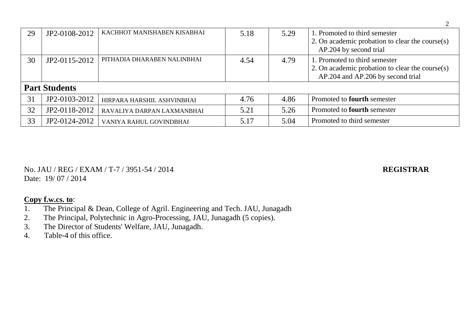| 29 | JP2-0108-2012        | KACHHOT MANISHABEN KISABHAI | 5.18 | 5.29 | 1. Promoted to third semester<br>2. On academic probation to clear the course(s)<br>AP.204 by second trial            |  |
|----|----------------------|-----------------------------|------|------|-----------------------------------------------------------------------------------------------------------------------|--|
| 30 | JP2-0115-2012        | PITHADIA DHARABEN NALINBHAI | 4.54 | 4.79 | 1. Promoted to third semester<br>2. On academic probation to clear the course(s)<br>AP.204 and AP.206 by second trial |  |
|    | <b>Part Students</b> |                             |      |      |                                                                                                                       |  |
| 31 | JP2-0103-2012        | HIRPARA HARSHIL ASHVINBHAI  | 4.76 | 4.86 | Promoted to <b>fourth</b> semester                                                                                    |  |
| 32 | JP2-0118-2012        | RAVALIYA DARPAN LAXMANBHAI  | 5.21 | 5.26 | Promoted to <b>fourth</b> semester                                                                                    |  |
| 33 | JP2-0124-2012        | VANIYA RAHUL GOVINDBHAI     | 5.17 | 5.04 | Promoted to third semester                                                                                            |  |

No. JAU / REG / EXAM / T-7 / 3951-54 / 2014 **REGISTRAR** Date: 19/07/2014

- 1. The Principal & Dean, College of Agril. Engineering and Tech. JAU, Junagadh<br>2. The Principal, Polytechnic in Agro-Processing, JAU, Junagadh (5 copies).
- The Principal, Polytechnic in Agro-Processing, JAU, Junagadh (5 copies).
- 3. The Director of Students' Welfare, JAU, Junagadh.
- 4. Table-4 of this office.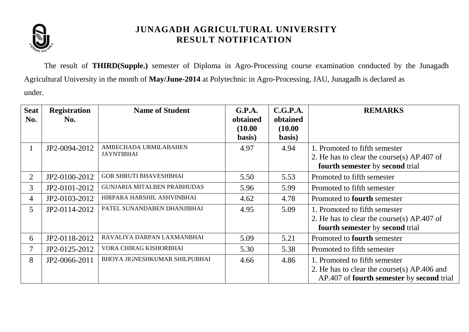

The result of **THIRD(Supple.)** semester of Diploma in Agro-Processing course examination conducted by the Junagadh Agricultural University in the month of **May/June-2014** at Polytechnic in Agro-Processing, JAU, Junagadh is declared as under.

| <b>Seat</b><br>No. | <b>Registration</b><br>No. | <b>Name of Student</b>                     | G.P.A.<br>obtained<br>(10.00) | C.G.P.A.<br>obtained<br>(10.00) | <b>REMARKS</b>                                                                                                            |  |
|--------------------|----------------------------|--------------------------------------------|-------------------------------|---------------------------------|---------------------------------------------------------------------------------------------------------------------------|--|
| $\mathbf{I}$       | JP2-0094-2012              | AMBECHADA URMILABAHEN<br><b>JAYNTIBHAI</b> | basis)<br>4.97                | basis)<br>4.94                  | 1. Promoted to fifth semester<br>2. He has to clear the course(s) AP.407 of<br>fourth semester by second trial            |  |
| $\overline{2}$     | JP2-0100-2012              | <b>GOR SHRUTI BHAVESHBHAI</b>              | 5.50                          | 5.53                            | Promoted to fifth semester                                                                                                |  |
| $\overline{3}$     | JP2-0101-2012              | GUNJARIA MITALBEN PRABHUDAS                | 5.96                          | 5.99                            | Promoted to fifth semester                                                                                                |  |
| $\overline{4}$     | JP2-0103-2012              | HIRPARA HARSHIL ASHVINBHAI                 | 4.62                          | 4.78                            | Promoted to <b>fourth</b> semester                                                                                        |  |
| 5                  | JP2-0114-2012              | PATEL SUNANDABEN DHANJIBHAI                | 4.95                          | 5.09                            | 1. Promoted to fifth semester<br>2. He has to clear the course(s) $AP.407$ of<br>fourth semester by second trial          |  |
| 6                  | JP2-0118-2012              | RAVALIYA DARPAN LAXMANBHAI                 | 5.09                          | 5.21                            | Promoted to <b>fourth</b> semester                                                                                        |  |
| $\tau$             | JP2-0125-2012              | VORA CHIRAG KISHORBHAI                     | 5.30                          | 5.38                            | Promoted to fifth semester                                                                                                |  |
| 8                  | JP2-0066-2011              | BHOYA JIGNESHKUMAR SHILPUBHAI              | 4.66                          | 4.86                            | 1. Promoted to fifth semester<br>2. He has to clear the course(s) AP.406 and<br>AP.407 of fourth semester by second trial |  |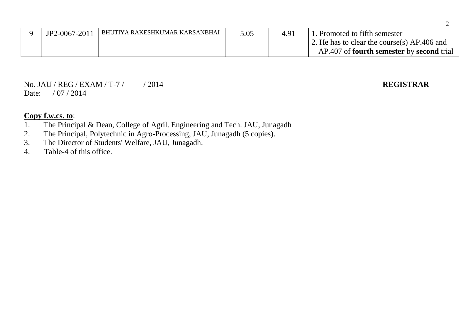| JP2-0067-2011 | I BHUTIYA RAKESHKUMAR KARSANBHAI | 5.05 | 491 | . Promoted to fifth semester                            |
|---------------|----------------------------------|------|-----|---------------------------------------------------------|
|               |                                  |      |     | 2. He has to clear the course(s) AP.406 and             |
|               |                                  |      |     | AP.407 of <b>fourth semester</b> by <b>second</b> trial |

No. JAU / REG / EXAM / T-7 / / 2014 **REGISTRAR** Date: / 07 / 2014

- 1. The Principal & Dean, College of Agril. Engineering and Tech. JAU, Junagadh 2. The Principal. Polytechnic in Agro-Processing. JAU. Junagadh (5 copies).
- 2. The Principal, Polytechnic in Agro-Processing, JAU, Junagadh (5 copies).
- 3. The Director of Students' Welfare, JAU, Junagadh.
- 4. Table-4 of this office.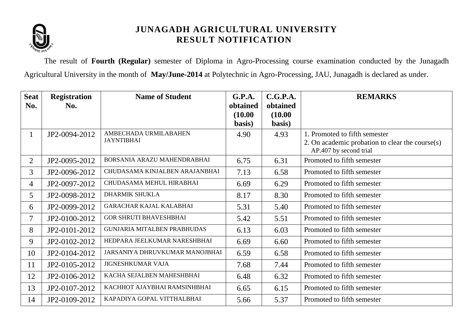

The result of **Fourth (Regular)** semester of Diploma in Agro-Processing course examination conducted by the Junagadh Agricultural University in the month of **May/June-2014** at Polytechnic in Agro-Processing, JAU, Junagadh is declared as under.

| <b>Seat</b>    | <b>Registration</b> | <b>Name of Student</b>             | G.P.A.   | C.G.P.A. | <b>REMARKS</b>                                  |
|----------------|---------------------|------------------------------------|----------|----------|-------------------------------------------------|
| No.            | No.                 |                                    | obtained | obtained |                                                 |
|                |                     |                                    | (10.00)  | (10.00)  |                                                 |
|                |                     |                                    | basis)   | basis)   |                                                 |
| $\mathbf{1}$   | JP2-0094-2012       | AMBECHADA URMILABAHEN              | 4.90     | 4.93     | 1. Promoted to fifth semester                   |
|                |                     | <b>JAYNTIBHAI</b>                  |          |          | 2. On academic probation to clear the course(s) |
|                |                     |                                    |          |          | AP.407 by second trial                          |
| $\overline{2}$ | JP2-0095-2012       | BORSANIA ARAZU MAHENDRABHAI        | 6.75     | 6.31     | Promoted to fifth semester                      |
| $\overline{3}$ | JP2-0096-2012       | CHUDASAMA KINJALBEN ARAJANBHAI     | 7.13     | 6.58     | Promoted to fifth semester                      |
| $\overline{4}$ | JP2-0097-2012       | CHUDASAMA MEHUL HIRABHAI           | 6.69     | 6.29     | Promoted to fifth semester                      |
| 5              | JP2-0098-2012       | <b>DHARMIK SHUKLA</b>              | 8.17     | 8.30     | Promoted to fifth semester                      |
| 6              | JP2-0099-2012       | <b>GARACHAR KAJAL KALABHAI</b>     | 5.31     | 5.40     | Promoted to fifth semester                      |
| $\tau$         | JP2-0100-2012       | <b>GOR SHRUTI BHAVESHBHAI</b>      | 5.42     | 5.51     | Promoted to fifth semester                      |
| 8              | JP2-0101-2012       | <b>GUNJARIA MITALBEN PRABHUDAS</b> | 6.13     | 6.03     | Promoted to fifth semester                      |
| 9              | JP2-0102-2012       | HEDPARA JEELKUMAR NARESHBHAI       | 6.69     | 6.60     | Promoted to fifth semester                      |
| 10             | JP2-0104-2012       | JARSANIYA DHRUVKUMAR MANOJBHAI     | 6.59     | 6.58     | Promoted to fifth semester                      |
| 11             | JP2-0105-2012       | <b>JIGNESHKUMAR VAJA</b>           | 7.68     | 7.44     | Promoted to fifth semester                      |
| 12             | JP2-0106-2012       | KACHA SEJALBEN MAHESHBHAI          | 6.48     | 6.32     | Promoted to fifth semester                      |
| 13             | JP2-0107-2012       | KACHHOT AJAYBHAI RAMSINHBHAI       | 6.65     | 6.15     | Promoted to fifth semester                      |
| 14             | JP2-0109-2012       | KAPADIYA GOPAL VITTHALBHAI         | 5.66     | 5.37     | Promoted to fifth semester                      |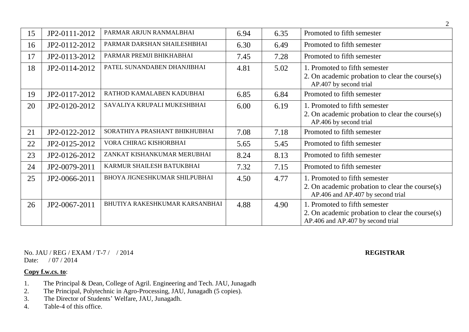| 15 | JP2-0111-2012 | PARMAR ARJUN RANMALBHAI        | 6.94 | 6.35 | Promoted to fifth semester                                                                                            |  |
|----|---------------|--------------------------------|------|------|-----------------------------------------------------------------------------------------------------------------------|--|
| 16 | JP2-0112-2012 | PARMAR DARSHAN SHAILESHBHAI    | 6.30 | 6.49 | Promoted to fifth semester                                                                                            |  |
| 17 | JP2-0113-2012 | PARMAR PREMJI BHIKHABHAI       | 7.45 | 7.28 | Promoted to fifth semester                                                                                            |  |
| 18 | JP2-0114-2012 | PATEL SUNANDABEN DHANJIBHAI    | 4.81 | 5.02 | 1. Promoted to fifth semester<br>2. On academic probation to clear the course(s)<br>AP.407 by second trial            |  |
| 19 | JP2-0117-2012 | RATHOD KAMALABEN KADUBHAI      | 6.85 | 6.84 | Promoted to fifth semester                                                                                            |  |
| 20 | JP2-0120-2012 | SAVALIYA KRUPALI MUKESHBHAI    | 6.00 | 6.19 | 1. Promoted to fifth semester<br>2. On academic probation to clear the course(s)<br>AP.406 by second trial            |  |
| 21 | JP2-0122-2012 | SORATHIYA PRASHANT BHIKHUBHAI  | 7.08 | 7.18 | Promoted to fifth semester                                                                                            |  |
| 22 | JP2-0125-2012 | VORA CHIRAG KISHORBHAI         | 5.65 | 5.45 | Promoted to fifth semester                                                                                            |  |
| 23 | JP2-0126-2012 | ZANKAT KISHANKUMAR MERUBHAI    | 8.24 | 8.13 | Promoted to fifth semester                                                                                            |  |
| 24 | JP2-0079-2011 | KARMUR SHAILESH BATUKBHAI      | 7.32 | 7.15 | Promoted to fifth semester                                                                                            |  |
| 25 | JP2-0066-2011 | BHOYA JIGNESHKUMAR SHILPUBHAI  | 4.50 | 4.77 | 1. Promoted to fifth semester<br>2. On academic probation to clear the course(s)<br>AP.406 and AP.407 by second trial |  |
| 26 | JP2-0067-2011 | BHUTIYA RAKESHKUMAR KARSANBHAI | 4.88 | 4.90 | 1. Promoted to fifth semester<br>2. On academic probation to clear the course(s)<br>AP.406 and AP.407 by second trial |  |

No. JAU / REG / EXAM / T-7 / / 2014 **REGISTRAR** Date: / 07 / 2014

- 1. The Principal & Dean, College of Agril. Engineering and Tech. JAU, Junagadh
- 2. The Principal, Polytechnic in Agro-Processing, JAU, Junagadh (5 copies).
- 3. The Director of Students' Welfare, JAU, Junagadh.
- 4. Table-4 of this office.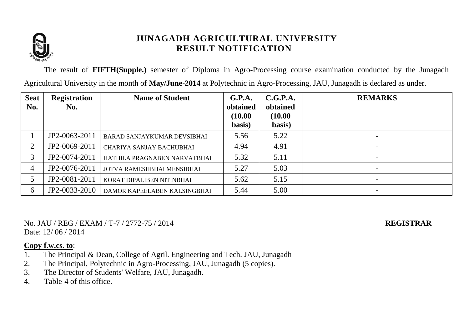

The result of **FIFTH(Supple.)** semester of Diploma in Agro-Processing course examination conducted by the Junagadh Agricultural University in the month of **May/June-2014** at Polytechnic in Agro-Processing, JAU, Junagadh is declared as under.

| <b>Seat</b>    | <b>Registration</b> | <b>Name of Student</b>             | G.P.A.              | C.G.P.A.            | <b>REMARKS</b>           |
|----------------|---------------------|------------------------------------|---------------------|---------------------|--------------------------|
| No.            | No.                 |                                    | obtained<br>(10.00) | obtained<br>(10.00) |                          |
|                |                     |                                    | basis)              | basis)              |                          |
|                | JP2-0063-2011       | <b>BARAD SANJAYKUMAR DEVSIBHAI</b> | 5.56                | 5.22                | $\overline{\phantom{a}}$ |
| $\overline{2}$ | JP2-0069-2011       | CHARIYA SANJAY BACHUBHAI           | 4.94                | 4.91                | $\overline{\phantom{a}}$ |
| 3              | JP2-0074-2011       | HATHILA PRAGNABEN NARVATBHAI       | 5.32                | 5.11                |                          |
| 4              | JP2-0076-2011       | JOTVA RAMESHBHAI MENSIBHAI         | 5.27                | 5.03                |                          |
|                | JP2-0081-2011       | KORAT DIPALIBEN NITINBHAI          | 5.62                | 5.15                |                          |
| 6              | JP2-0033-2010       | DAMOR KAPEELABEN KALSINGBHAI       | 5.44                | 5.00                |                          |

No. JAU / REG / EXAM / T-7 / 2772-75 / 2014 **REGISTRAR** Date:  $12/06/2014$ 

- 1. The Principal & Dean, College of Agril. Engineering and Tech. JAU, Junagadh
- 2. The Principal, Polytechnic in Agro-Processing, JAU, Junagadh (5 copies).
- 3. The Director of Students' Welfare, JAU, Junagadh.
- 4. Table-4 of this office.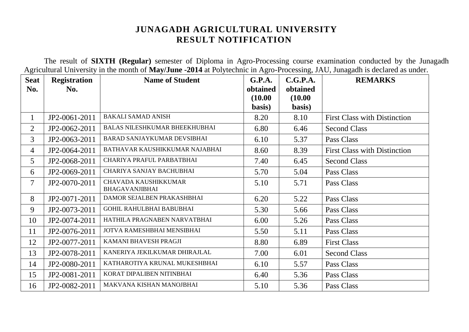The result of **SIXTH (Regular)** semester of Diploma in Agro-Processing course examination conducted by the Junagadh Agricultural University in the month of **May/June -2014** at Polytechnic in Agro-Processing, JAU, Junagadh is declared as under.

| <b>Seat</b>    | <b>Registration</b> | <b>Name of Student</b>                               | G.P.A.   | C.G.P.A. | <b>REMARKS</b>                      |
|----------------|---------------------|------------------------------------------------------|----------|----------|-------------------------------------|
| No.            | No.                 |                                                      | obtained | obtained |                                     |
|                |                     |                                                      | (10.00)  | (10.00)  |                                     |
|                |                     |                                                      | basis)   | basis)   |                                     |
| $\mathbf{1}$   | JP2-0061-2011       | <b>BAKALI SAMAD ANISH</b>                            | 8.20     | 8.10     | <b>First Class with Distinction</b> |
| $\overline{2}$ | JP2-0062-2011       | <b>BALAS NILESHKUMAR BHEEKHUBHAI</b>                 | 6.80     | 6.46     | <b>Second Class</b>                 |
| 3              | JP2-0063-2011       | <b>BARAD SANJAYKUMAR DEVSIBHAI</b>                   | 6.10     | 5.37     | Pass Class                          |
| $\overline{4}$ | JP2-0064-2011       | BATHAVAR KAUSHIKKUMAR NAJABHAI                       | 8.60     | 8.39     | <b>First Class with Distinction</b> |
| 5              | JP2-0068-2011       | CHARIYA PRAFUL PARBATBHAI                            | 7.40     | 6.45     | <b>Second Class</b>                 |
| 6              | JP2-0069-2011       | CHARIYA SANJAY BACHUBHAI                             | 5.70     | 5.04     | Pass Class                          |
| $\overline{7}$ | JP2-0070-2011       | <b>CHAVADA KAUSHIKKUMAR</b><br><b>BHAGAVANJIBHAI</b> | 5.10     | 5.71     | Pass Class                          |
| 8              | JP2-0071-2011       | DAMOR SEJALBEN PRAKASHBHAI                           | 6.20     | 5.22     | Pass Class                          |
| 9              | JP2-0073-2011       | <b>GOHIL RAHULBHAI BABUBHAI</b>                      | 5.30     | 5.66     | Pass Class                          |
| 10             | JP2-0074-2011       | HATHILA PRAGNABEN NARVATBHAI                         | 6.00     | 5.26     | Pass Class                          |
| 11             | JP2-0076-2011       | JOTVA RAMESHBHAI MENSIBHAI                           | 5.50     | 5.11     | Pass Class                          |
| 12             | JP2-0077-2011       | KAMANI BHAVESH PRAGJI                                | 8.80     | 6.89     | <b>First Class</b>                  |
| 13             | JP2-0078-2011       | KANERIYA JEKILKUMAR DHIRAJLAL                        | 7.00     | 6.01     | <b>Second Class</b>                 |
| 14             | JP2-0080-2011       | KATHAROTIYA KRUNAL MUKESHBHAI                        | 6.10     | 5.57     | Pass Class                          |
| 15             | JP2-0081-2011       | KORAT DIPALIBEN NITINBHAI                            | 6.40     | 5.36     | Pass Class                          |
| 16             | JP2-0082-2011       | MAKVANA KISHAN MANOJBHAI                             | 5.10     | 5.36     | Pass Class                          |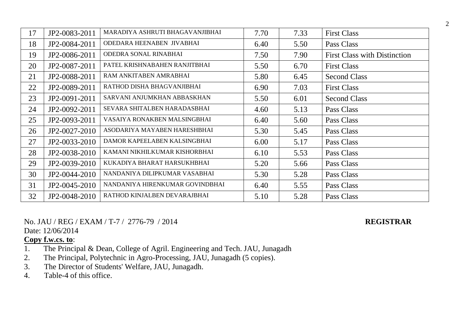| 17 | JP2-0083-2011 | MARADIYA ASHRUTI BHAGAVANJIBHAI | 7.70 | 7.33 | <b>First Class</b>                  |
|----|---------------|---------------------------------|------|------|-------------------------------------|
| 18 | JP2-0084-2011 | ODEDARA HEENABEN JIVABHAI       | 6.40 | 5.50 | Pass Class                          |
| 19 | JP2-0086-2011 | ODEDRA SONAL RINABHAI           | 7.50 | 7.90 | <b>First Class with Distinction</b> |
| 20 | JP2-0087-2011 | PATEL KRISHNABAHEN RANJITBHAI   | 5.50 | 6.70 | <b>First Class</b>                  |
| 21 | JP2-0088-2011 | RAM ANKITABEN AMRABHAI          | 5.80 | 6.45 | <b>Second Class</b>                 |
| 22 | JP2-0089-2011 | RATHOD DISHA BHAGVANJIBHAI      | 6.90 | 7.03 | <b>First Class</b>                  |
| 23 | JP2-0091-2011 | SARVANI ANJUMKHAN ABBASKHAN     | 5.50 | 6.01 | <b>Second Class</b>                 |
| 24 | JP2-0092-2011 | SEVARA SHITALBEN HARADASBHAI    | 4.60 | 5.13 | Pass Class                          |
| 25 | JP2-0093-2011 | VASAIYA RONAKBEN MALSINGBHAI    | 6.40 | 5.60 | Pass Class                          |
| 26 | JP2-0027-2010 | ASODARIYA MAYABEN HARESHBHAI    | 5.30 | 5.45 | Pass Class                          |
| 27 | JP2-0033-2010 | DAMOR KAPEELABEN KALSINGBHAI    | 6.00 | 5.17 | Pass Class                          |
| 28 | JP2-0038-2010 | KAMANI NIKHILKUMAR KISHORBHAI   | 6.10 | 5.53 | Pass Class                          |
| 29 | JP2-0039-2010 | KUKADIYA BHARAT HARSUKHBHAI     | 5.20 | 5.66 | Pass Class                          |
| 30 | JP2-0044-2010 | NANDANIYA DILIPKUMAR VASABHAI   | 5.30 | 5.28 | Pass Class                          |
| 31 | JP2-0045-2010 | NANDANIYA HIRENKUMAR GOVINDBHAI | 6.40 | 5.55 | Pass Class                          |
| 32 | JP2-0048-2010 | RATHOD KINJALBEN DEVARAJBHAI    | 5.10 | 5.28 | Pass Class                          |

No. JAU / REG / EXAM / T-7 / 2776-79 / 2014 **REGISTRAR**

Date: 12/06/2014

- 1. The Principal & Dean, College of Agril. Engineering and Tech. JAU, Junagadh
- 2. The Principal, Polytechnic in Agro-Processing, JAU, Junagadh (5 copies).
- 3. The Director of Students' Welfare, JAU, Junagadh.
- 4. Table-4 of this office.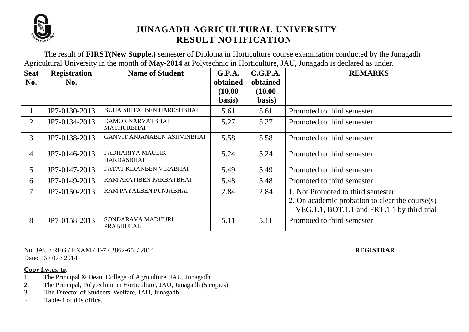

The result of **FIRST(New Supple.)** semester of Diploma in Horticulture course examination conducted by the Junagadh Agricultural University in the month of **May-2014** at Polytechnic in Horticulture, JAU, Junagadh is declared as under.

| <b>Seat</b><br>No. | <b>Registration</b><br>No. | <b>Name of Student</b>                       | G.P.A.<br>obtained | C.G.P.A.<br>obtained | <b>REMARKS</b>                                     |
|--------------------|----------------------------|----------------------------------------------|--------------------|----------------------|----------------------------------------------------|
|                    |                            |                                              | (10.00)            | (10.00)              |                                                    |
|                    |                            |                                              | basis)             | basis)               |                                                    |
|                    | JP7-0130-2013              | <b>BUHA SHITALBEN HARESHBHAI</b>             | 5.61               | 5.61                 | Promoted to third semester                         |
| $\overline{2}$     | JP7-0134-2013              | <b>DAMOR NARVATBHAI</b><br><b>MATHURBHAI</b> | 5.27               | 5.27                 | Promoted to third semester                         |
| $\overline{3}$     | JP7-0138-2013              | <b>GANVIT ANJANABEN ASHVINBHAI</b>           | 5.58               | 5.58                 | Promoted to third semester                         |
| $\overline{4}$     | JP7-0146-2013              | PADHARIYA MAULIK<br>HARDASBHAI               | 5.24               | 5.24                 | Promoted to third semester                         |
| 5                  | JP7-0147-2013              | PATAT KIRANBEN VIRABHAI                      | 5.49               | 5.49                 | Promoted to third semester                         |
| 6                  | JP7-0149-2013              | RAM ARATIBEN PARBATBHAI                      | 5.48               | 5.48                 | Promoted to third semester                         |
| $\tau$             | JP7-0150-2013              | RAM PAYALBEN PUNJABHAI                       | 2.84               | 2.84                 | 1. Not Promoted to third semester                  |
|                    |                            |                                              |                    |                      | 2. On academic probation to clear the course $(s)$ |
|                    |                            |                                              |                    |                      | VEG.1.1, BOT.1.1 and FRT.1.1 by third trial        |
| 8                  | JP7-0158-2013              | SONDARAVA MADHURI<br>PRABHULAL               | 5.11               | 5.11                 | Promoted to third semester                         |

No. JAU / REG / EXAM / T-7 / 3862-65 / 2014 **REGISTRAR** Date:  $16 / 07 / 2014$ 

- 1. The Principal & Dean, College of Agriculture, JAU, Junagadh
- 2. The Principal, Polytechnic in Horticulture, JAU, Junagadh (5 copies).
- 3. The Director of Students' Welfare, JAU, Junagadh.
- 4. Table-4 of this office.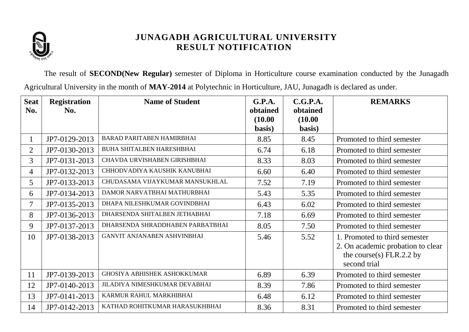

The result of **SECOND(New Regular)** semester of Diploma in Horticulture course examination conducted by the Junagadh Agricultural University in the month of **MAY-2014** at Polytechnic in Horticulture, JAU, Junagadh is declared as under.

| <b>Seat</b>    | <b>Registration</b> | <b>Name of Student</b>               | G.P.A.            | C.G.P.A.          | <b>REMARKS</b>                                                                                                   |
|----------------|---------------------|--------------------------------------|-------------------|-------------------|------------------------------------------------------------------------------------------------------------------|
| No.            | No.                 |                                      | obtained          | obtained          |                                                                                                                  |
|                |                     |                                      | (10.00)<br>basis) | (10.00)<br>basis) |                                                                                                                  |
|                | JP7-0129-2013       | <b>BARAD PARITABEN HAMIRBHAI</b>     | 8.85              | 8.45              | Promoted to third semester                                                                                       |
| $\overline{2}$ | JP7-0130-2013       | <b>BUHA SHITALBEN HARESHBHAI</b>     | 6.74              | 6.18              | Promoted to third semester                                                                                       |
| 3              | JP7-0131-2013       | CHAVDA URVISHABEN GIRISHBHAI         | 8.33              | 8.03              | Promoted to third semester                                                                                       |
| $\overline{4}$ | JP7-0132-2013       | CHHODVADIYA KAUSHIK KANUBHAI         | 6.60              | 6.40              | Promoted to third semester                                                                                       |
| 5              | JP7-0133-2013       | CHUDASAMA VIJAYKUMAR MANSUKHLAL      | 7.52              | 7.19              | Promoted to third semester                                                                                       |
| 6              | JP7-0134-2013       | DAMOR NARVATBHAI MATHURBHAI          | 5.43              | 5.35              | Promoted to third semester                                                                                       |
| 7              | JP7-0135-2013       | DHAPA NILESHKUMAR GOVINDBHAI         | 6.43              | 6.02              | Promoted to third semester                                                                                       |
| 8              | JP7-0136-2013       | DHARSENDA SHITALBEN JETHABHAI        | 7.18              | 6.69              | Promoted to third semester                                                                                       |
| 9              | JP7-0137-2013       | DHARSENDA SHRADDHABEN PARBATBHAI     | 8.05              | 7.50              | Promoted to third semester                                                                                       |
| 10             | JP7-0138-2013       | <b>GANVIT ANJANABEN ASHVINBHAI</b>   | 5.46              | 5.52              | 1. Promoted to third semester<br>2. On academic probation to clear<br>the course(s) $FLR.2.2$ by<br>second trial |
| 11             | JP7-0139-2013       | <b>GHOSIYA ABHISHEK ASHOKKUMAR</b>   | 6.89              | 6.39              | Promoted to third semester                                                                                       |
| 12             | JP7-0140-2013       | <b>JILADIYA NIMESHKUMAR DEVABHAI</b> | 8.39              | 7.86              | Promoted to third semester                                                                                       |
| 13             | JP7-0141-2013       | KARMUR RAHUL MARKHIBHAI              | 6.48              | 6.12              | Promoted to third semester                                                                                       |
| 14             | JP7-0142-2013       | KATHAD ROHITKUMAR HARASUKHBHAI       | 8.36              | 8.31              | Promoted to third semester                                                                                       |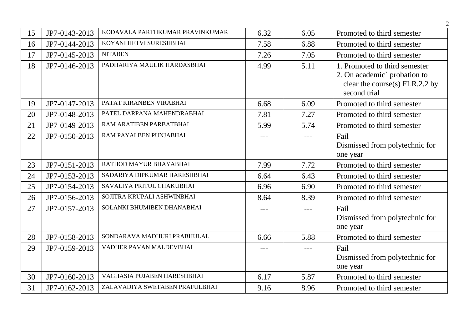| 15 | JP7-0143-2013 | KODAVALA PARTHKUMAR PRAVINKUMAR | 6.32  | 6.05  | Promoted to third semester                                                                                        |
|----|---------------|---------------------------------|-------|-------|-------------------------------------------------------------------------------------------------------------------|
| 16 | JP7-0144-2013 | KOYANI HETVI SURESHBHAI         | 7.58  | 6.88  | Promoted to third semester                                                                                        |
| 17 | JP7-0145-2013 | <b>NITABEN</b>                  | 7.26  | 7.05  | Promoted to third semester                                                                                        |
| 18 | JP7-0146-2013 | PADHARIYA MAULIK HARDASBHAI     | 4.99  | 5.11  | 1. Promoted to third semester<br>2. On academic` probation to<br>clear the course(s) $FLR.2.2$ by<br>second trial |
| 19 | JP7-0147-2013 | PATAT KIRANBEN VIRABHAI         | 6.68  | 6.09  | Promoted to third semester                                                                                        |
| 20 | JP7-0148-2013 | PATEL DARPANA MAHENDRABHAI      | 7.81  | 7.27  | Promoted to third semester                                                                                        |
| 21 | JP7-0149-2013 | RAM ARATIBEN PARBATBHAI         | 5.99  | 5.74  | Promoted to third semester                                                                                        |
| 22 | JP7-0150-2013 | RAM PAYALBEN PUNJABHAI          | $---$ | $---$ | Fail<br>Dismissed from polytechnic for<br>one year                                                                |
| 23 | JP7-0151-2013 | RATHOD MAYUR BHAYABHAI          | 7.99  | 7.72  | Promoted to third semester                                                                                        |
| 24 | JP7-0153-2013 | SADARIYA DIPKUMAR HARESHBHAI    | 6.64  | 6.43  | Promoted to third semester                                                                                        |
| 25 | JP7-0154-2013 | SAVALIYA PRITUL CHAKUBHAI       | 6.96  | 6.90  | Promoted to third semester                                                                                        |
| 26 | JP7-0156-2013 | SOJITRA KRUPALI ASHWINBHAI      | 8.64  | 8.39  | Promoted to third semester                                                                                        |
| 27 | JP7-0157-2013 | SOLANKI BHUMIBEN DHANABHAI      | ---   | $---$ | Fail<br>Dismissed from polytechnic for<br>one year                                                                |
| 28 | JP7-0158-2013 | SONDARAVA MADHURI PRABHULAL     | 6.66  | 5.88  | Promoted to third semester                                                                                        |
| 29 | JP7-0159-2013 | VADHER PAVAN MALDEVBHAI         | $---$ | $---$ | Fail<br>Dismissed from polytechnic for<br>one year                                                                |
| 30 | JP7-0160-2013 | VAGHASIA PUJABEN HARESHBHAI     | 6.17  | 5.87  | Promoted to third semester                                                                                        |
| 31 | JP7-0162-2013 | ZALAVADIYA SWETABEN PRAFULBHAI  | 9.16  | 8.96  | Promoted to third semester                                                                                        |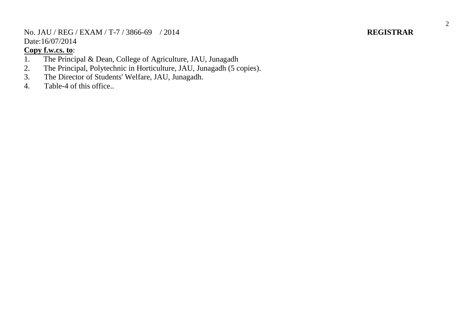No. JAU / REG / EXAM / T-7 / 3866-69 / 201 Date:16/07/2014

### **Copy f.w.cs. to** :

- 1. The Principal & Dean, College of Agriculture, JAU, Junagadh
- 2. The Principal, Polytechnic in Horticulture, JAU, Junagadh (5 copies).
- 3. The Director of Students' Welfare, JAU, Junagadh.
- 4. Table -4 of this office. .

## 4 **REGISTRAR**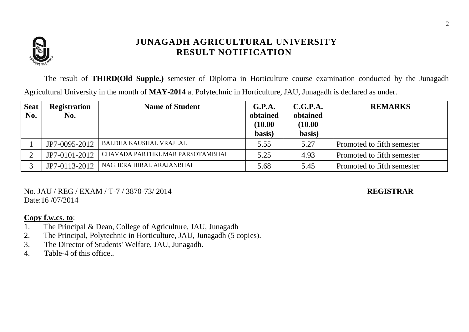

The result of **THIRD(Old Supple.)** semester of Diploma in Horticulture course examination conducted by the Junagadh Agricultural University in the month of **MAY-2014** at Polytechnic in Horticulture, JAU, Junagadh is declared as under.

| <b>Seat</b><br>No. | <b>Registration</b><br>No. | <b>Name of Student</b>          | G.P.A.<br>obtained | C.G.P.A.<br>obtained | <b>REMARKS</b>             |
|--------------------|----------------------------|---------------------------------|--------------------|----------------------|----------------------------|
|                    |                            |                                 | (10.00)            | (10.00)              |                            |
|                    |                            |                                 | basis)             | basis)               |                            |
|                    | JP7-0095-2012              | <b>BALDHA KAUSHAL VRAJLAL</b>   | 5.55               | 5.27                 | Promoted to fifth semester |
|                    | JP7-0101-2012              | CHAVADA PARTHKUMAR PARSOTAMBHAI | 5.25               | 4.93                 | Promoted to fifth semester |
|                    | JP7-0113-2012              | NAGHERA HIRAL ARAJANBHAI        | 5.68               | 5.45                 | Promoted to fifth semester |

No. JAU / REG / EXAM / T-7 / 3870-73/ 2014 **REGISTRAR** Date:16 /07/2014

- 1. The Principal & Dean, College of Agriculture, JAU, Junagadh
- 2. The Principal, Polytechnic in Horticulture, JAU, Junagadh (5 copies).
- 3. The Director of Students' Welfare, JAU, Junagadh.
- 4. Table-4 of this office..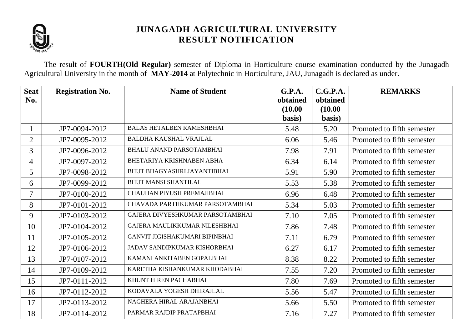

The result of **FOURTH(Old Regular)** semester of Diploma in Horticulture course examination conducted by the Junagadh Agricultural University in the month of **MAY-2014** at Polytechnic in Horticulture, JAU, Junagadh is declared as under.

| <b>Seat</b><br>No. | <b>Registration No.</b> | <b>Name of Student</b>              | G.P.A.<br>obtained | C.G.P.A.<br>obtained | <b>REMARKS</b>             |
|--------------------|-------------------------|-------------------------------------|--------------------|----------------------|----------------------------|
|                    |                         |                                     | (10.00)            | (10.00)              |                            |
|                    |                         |                                     | basis)             | basis)               |                            |
| $\mathbf{1}$       | JP7-0094-2012           | <b>BALAS HETALBEN RAMESHBHAI</b>    | 5.48               | 5.20                 | Promoted to fifth semester |
| $\overline{2}$     | JP7-0095-2012           | <b>BALDHA KAUSHAL VRAJLAL</b>       | 6.06               | 5.46                 | Promoted to fifth semester |
| 3                  | JP7-0096-2012           | <b>BHALU ANAND PARSOTAMBHAI</b>     | 7.98               | 7.91                 | Promoted to fifth semester |
| 4                  | JP7-0097-2012           | BHETARIYA KRISHNABEN ABHA           | 6.34               | 6.14                 | Promoted to fifth semester |
| 5 <sup>5</sup>     | JP7-0098-2012           | BHUT BHAGYASHRI JAYANTIBHAI         | 5.91               | 5.90                 | Promoted to fifth semester |
| 6                  | JP7-0099-2012           | <b>BHUT MANSI SHANTILAL</b>         | 5.53               | 5.38                 | Promoted to fifth semester |
| 7                  | JP7-0100-2012           | CHAUHAN PIYUSH PREMAJIBHAI          | 6.96               | 6.48                 | Promoted to fifth semester |
| 8                  | JP7-0101-2012           | CHAVADA PARTHKUMAR PARSOTAMBHAI     | 5.34               | 5.03                 | Promoted to fifth semester |
| 9                  | JP7-0103-2012           | GAJERA DIVYESHKUMAR PARSOTAMBHAI    | 7.10               | 7.05                 | Promoted to fifth semester |
| 10                 | JP7-0104-2012           | GAJERA MAULIKKUMAR NILESHBHAI       | 7.86               | 7.48                 | Promoted to fifth semester |
| 11                 | JP7-0105-2012           | GANVIT JIGISHAKUMARI BIPINBHAI      | 7.11               | 6.79                 | Promoted to fifth semester |
| 12                 | JP7-0106-2012           | <b>JADAV SANDIPKUMAR KISHORBHAI</b> | 6.27               | 6.17                 | Promoted to fifth semester |
| 13                 | JP7-0107-2012           | KAMANI ANKITABEN GOPALBHAI          | 8.38               | 8.22                 | Promoted to fifth semester |
| 14                 | JP7-0109-2012           | KARETHA KISHANKUMAR KHODABHAI       | 7.55               | 7.20                 | Promoted to fifth semester |
| 15                 | JP7-0111-2012           | KHUNT HIREN PACHABHAI               | 7.80               | 7.69                 | Promoted to fifth semester |
| 16                 | JP7-0112-2012           | KODAVALA YOGESH DHIRAJLAL           | 5.56               | 5.47                 | Promoted to fifth semester |
| 17                 | JP7-0113-2012           | NAGHERA HIRAL ARAJANBHAI            | 5.66               | 5.50                 | Promoted to fifth semester |
| 18                 | JP7-0114-2012           | PARMAR RAJDIP PRATAPBHAI            | 7.16               | 7.27                 | Promoted to fifth semester |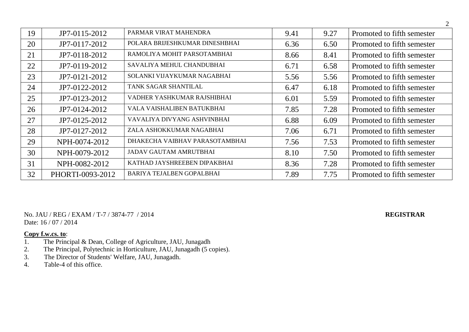| 19 | JP7-0115-2012    | PARMAR VIRAT MAHENDRA            | 9.41 | 9.27 | Promoted to fifth semester |
|----|------------------|----------------------------------|------|------|----------------------------|
| 20 | JP7-0117-2012    | POLARA BRIJESHKUMAR DINESHBHAI   | 6.36 | 6.50 | Promoted to fifth semester |
| 21 | JP7-0118-2012    | RAMOLIYA MOHIT PARSOTAMBHAI      | 8.66 | 8.41 | Promoted to fifth semester |
| 22 | JP7-0119-2012    | SAVALIYA MEHUL CHANDUBHAI        | 6.71 | 6.58 | Promoted to fifth semester |
| 23 | JP7-0121-2012    | SOLANKI VIJAYKUMAR NAGABHAI      | 5.56 | 5.56 | Promoted to fifth semester |
| 24 | JP7-0122-2012    | TANK SAGAR SHANTILAL             | 6.47 | 6.18 | Promoted to fifth semester |
| 25 | JP7-0123-2012    | VADHER YASHKUMAR RAJSHIBHAI      | 6.01 | 5.59 | Promoted to fifth semester |
| 26 | JP7-0124-2012    | VALA VAISHALIBEN BATUKBHAI       | 7.85 | 7.28 | Promoted to fifth semester |
| 27 | JP7-0125-2012    | VAVALIYA DIVYANG ASHVINBHAI      | 6.88 | 6.09 | Promoted to fifth semester |
| 28 | JP7-0127-2012    | ZALA ASHOKKUMAR NAGABHAI         | 7.06 | 6.71 | Promoted to fifth semester |
| 29 | NPH-0074-2012    | DHAKECHA VAIBHAV PARASOTAMBHAI   | 7.56 | 7.53 | Promoted to fifth semester |
| 30 | NPH-0079-2012    | <b>JADAV GAUTAM AMRUTBHAI</b>    | 8.10 | 7.50 | Promoted to fifth semester |
| 31 | NPH-0082-2012    | KATHAD JAYSHREEBEN DIPAKBHAI     | 8.36 | 7.28 | Promoted to fifth semester |
| 32 | PHORTI-0093-2012 | <b>BARIYA TEJALBEN GOPALBHAI</b> | 7.89 | 7.75 | Promoted to fifth semester |

No. JAU / REG / EXAM / T-7 / 3874-77 / 2014 **REGISTRAR** Date: 16 / 07 / 2014

- 1. The Principal & Dean, College of Agriculture, JAU, Junagadh
- 2. The Principal, Polytechnic in Horticulture, JAU, Junagadh (5 copies).
- 3. The Director of Students' Welfare, JAU, Junagadh.
- 4. Table-4 of this office.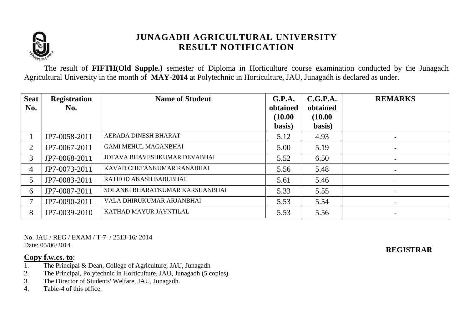

The result of **FIFTH(Old Supple.)** semester of Diploma in Horticulture course examination conducted by the Junagadh Agricultural University in the month of **MAY-2014** at Polytechnic in Horticulture, JAU, Junagadh is declared as under.

| <b>Seat</b><br>No. | <b>Registration</b><br>No. | <b>Name of Student</b>          | G.P.A.<br>obtained | C.G.P.A.<br>obtained | <b>REMARKS</b>           |
|--------------------|----------------------------|---------------------------------|--------------------|----------------------|--------------------------|
|                    |                            |                                 | (10.00)            | (10.00)              |                          |
|                    |                            |                                 | basis)             | basis)               |                          |
|                    | JP7-0058-2011              | AERADA DINESH BHARAT            | 5.12               | 4.93                 | $\overline{\phantom{0}}$ |
| 2                  | JP7-0067-2011              | <b>GAMI MEHUL MAGANBHAI</b>     | 5.00               | 5.19                 | $\overline{\phantom{a}}$ |
| 3                  | JP7-0068-2011              | JOTAVA BHAVESHKUMAR DEVABHAI    | 5.52               | 6.50                 | $\overline{\phantom{0}}$ |
| 4                  | JP7-0073-2011              | KAVAD CHETANKUMAR RANABHAI      | 5.56               | 5.48                 | $\overline{\phantom{0}}$ |
| 5                  | JP7-0083-2011              | RATHOD AKASH BABUBHAI           | 5.61               | 5.46                 | $\overline{\phantom{0}}$ |
| 6                  | JP7-0087-2011              | SOLANKI BHARATKUMAR KARSHANBHAI | 5.33               | 5.55                 | $\overline{\phantom{0}}$ |
|                    | JP7-0090-2011              | VALA DHIRUKUMAR ARJANBHAI       | 5.53               | 5.54                 | $\overline{\phantom{0}}$ |
| 8                  | JP7-0039-2010              | KATHAD MAYUR JAYNTILAL          | 5.53               | 5.56                 | $\overline{\phantom{a}}$ |

No. JAU / REG / EXAM / T-7 / 2513-16/ 2014 Date: 05/06/2014

### **Copy f.w.cs. to**:

**REGISTRAR**

- 1. The Principal & Dean, College of Agriculture, JAU, Junagadh
- 2. The Principal, Polytechnic in Horticulture, JAU, Junagadh (5 copies).
- 3. The Director of Students' Welfare, JAU, Junagadh.
- 4. Table-4 of this office.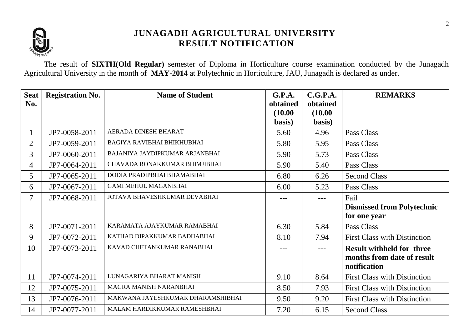

The result of **SIXTH(Old Regular)** semester of Diploma in Horticulture course examination conducted by the Junagadh Agricultural University in the month of **MAY-2014** at Polytechnic in Horticulture, JAU, Junagadh is declared as under.

| <b>Seat</b>              | <b>Registration No.</b> | <b>Name of Student</b>            | <b>G.P.A.</b>     | C.G.P.A.          | <b>REMARKS</b>                             |
|--------------------------|-------------------------|-----------------------------------|-------------------|-------------------|--------------------------------------------|
| No.                      |                         |                                   | obtained          | obtained          |                                            |
|                          |                         |                                   | (10.00)<br>basis) | (10.00)<br>basis) |                                            |
| $\mathbf{1}$             | JP7-0058-2011           | AERADA DINESH BHARAT              | 5.60              | 4.96              | Pass Class                                 |
| $\overline{2}$           | JP7-0059-2011           | <b>BAGIYA RAVIBHAI BHIKHUBHAI</b> | 5.80              | 5.95              | Pass Class                                 |
| 3                        | JP7-0060-2011           | BAJANIYA JAYDIPKUMAR ARJANBHAI    | 5.90              | 5.73              | Pass Class                                 |
| $\overline{4}$           | JP7-0064-2011           | CHAVADA RONAKKUMAR BHIMJIBHAI     | 5.90              | 5.40              | Pass Class                                 |
| 5                        | JP7-0065-2011           | DODIA PRADIPBHAI BHAMABHAI        | 6.80              | 6.26              | <b>Second Class</b>                        |
| 6                        | JP7-0067-2011           | <b>GAMI MEHUL MAGANBHAI</b>       | 6.00              | 5.23              | Pass Class                                 |
| $\overline{\mathcal{I}}$ | JP7-0068-2011           | JOTAVA BHAVESHKUMAR DEVABHAI      | ---               | ---               | Fail                                       |
|                          |                         |                                   |                   |                   | <b>Dismissed from Polytechnic</b>          |
|                          |                         |                                   |                   |                   | for one year                               |
| 8                        | JP7-0071-2011           | KARAMATA AJAYKUMAR RAMABHAI       | 6.30              | 5.84              | Pass Class                                 |
| 9                        | JP7-0072-2011           | KATHAD DIPAKKUMAR BADHABHAI       | 8.10              | 7.94              | <b>First Class with Distinction</b>        |
| 10                       | JP7-0073-2011           | KAVAD CHETANKUMAR RANABHAI        | $---$             | $---$             | <b>Result withheld for three</b>           |
|                          |                         |                                   |                   |                   | months from date of result<br>notification |
| 11                       | JP7-0074-2011           | LUNAGARIYA BHARAT MANISH          | 9.10              | 8.64              | <b>First Class with Distinction</b>        |
| 12                       | JP7-0075-2011           | MAGRA MANISH NARANBHAI            | 8.50              | 7.93              | <b>First Class with Distinction</b>        |
| 13                       | JP7-0076-2011           | MAKWANA JAYESHKUMAR DHARAMSHIBHAI | 9.50              | 9.20              | <b>First Class with Distinction</b>        |
| 14                       | JP7-0077-2011           | MALAM HARDIKKUMAR RAMESHBHAI      | 7.20              | 6.15              | <b>Second Class</b>                        |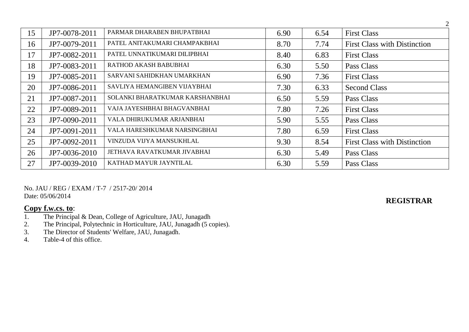| 15 | JP7-0078-2011 | PARMAR DHARABEN BHUPATBHAI      | 6.90 | 6.54 | <b>First Class</b>                  |
|----|---------------|---------------------------------|------|------|-------------------------------------|
| 16 | JP7-0079-2011 | PATEL ANITAKUMARI CHAMPAKBHAI   | 8.70 | 7.74 | <b>First Class with Distinction</b> |
| 17 | JP7-0082-2011 | PATEL UNNATIKUMARI DILIPBHAI    | 8.40 | 6.83 | <b>First Class</b>                  |
| 18 | JP7-0083-2011 | RATHOD AKASH BABUBHAI           | 6.30 | 5.50 | Pass Class                          |
| 19 | JP7-0085-2011 | SARVANI SAHIDKHAN UMARKHAN      | 6.90 | 7.36 | <b>First Class</b>                  |
| 20 | JP7-0086-2011 | SAVLIYA HEMANGIBEN VIJAYBHAI    | 7.30 | 6.33 | <b>Second Class</b>                 |
| 21 | JP7-0087-2011 | SOLANKI BHARATKUMAR KARSHANBHAI | 6.50 | 5.59 | Pass Class                          |
| 22 | JP7-0089-2011 | VAJA JAYESHBHAI BHAGVANBHAI     | 7.80 | 7.26 | <b>First Class</b>                  |
| 23 | JP7-0090-2011 | VALA DHIRUKUMAR ARJANBHAI       | 5.90 | 5.55 | Pass Class                          |
| 24 | JP7-0091-2011 | VALA HARESHKUMAR NARSINGBHAI    | 7.80 | 6.59 | <b>First Class</b>                  |
| 25 | JP7-0092-2011 | VINZUDA VIJYA MANSUKHLAL        | 9.30 | 8.54 | <b>First Class with Distinction</b> |
| 26 | JP7-0036-2010 | JETHAVA RAVATKUMAR JIVABHAI     | 6.30 | 5.49 | Pass Class                          |
| 27 | JP7-0039-2010 | KATHAD MAYUR JAYNTILAL          | 6.30 | 5.59 | Pass Class                          |

### No. JAU / REG / EXAM / T-7 / 2517-20/ 2014 Date: 05/06/2014

## **Copy f.w.cs. to**:

- 1. The Principal & Dean, College of Agriculture, JAU, Junagadh
- 2. The Principal, Polytechnic in Horticulture, JAU, Junagadh (5 copies).
- 3. The Director of Students' Welfare, JAU, Junagadh.
- 4. Table-4 of this office.

**REGISTRAR**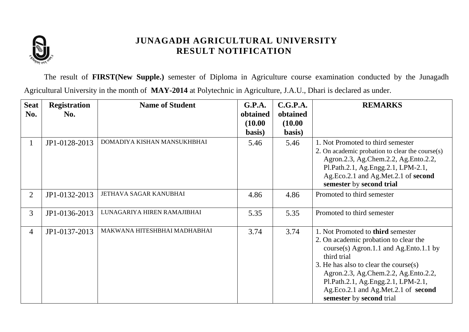

The result of **FIRST(New Supple.)** semester of Diploma in Agriculture course examination conducted by the Junagadh Agricultural University in the month of **MAY-2014** at Polytechnic in Agriculture, J.A.U., Dhari is declared as under.

| <b>Seat</b>    | <b>Registration</b> | <b>Name of Student</b>       | G.P.A.   | C.G.P.A. | <b>REMARKS</b>                                                                                                                                                                                                                                                                                                                   |
|----------------|---------------------|------------------------------|----------|----------|----------------------------------------------------------------------------------------------------------------------------------------------------------------------------------------------------------------------------------------------------------------------------------------------------------------------------------|
| No.            | No.                 |                              | obtained | obtained |                                                                                                                                                                                                                                                                                                                                  |
|                |                     |                              | (10.00)  | (10.00)  |                                                                                                                                                                                                                                                                                                                                  |
|                |                     |                              | basis)   | basis)   |                                                                                                                                                                                                                                                                                                                                  |
| $\perp$        | JP1-0128-2013       | DOMADIYA KISHAN MANSUKHBHAI  | 5.46     | 5.46     | 1. Not Promoted to third semester<br>2. On academic probation to clear the course(s)<br>Agron.2.3, Ag.Chem.2.2, Ag.Ento.2.2,<br>Pl.Path.2.1, Ag.Engg.2.1, LPM-2.1,<br>Ag.Eco.2.1 and Ag.Met.2.1 of second<br>semester by second trial                                                                                            |
| $\overline{2}$ | JP1-0132-2013       | JETHAVA SAGAR KANUBHAI       | 4.86     | 4.86     | Promoted to third semester                                                                                                                                                                                                                                                                                                       |
| $\overline{3}$ | JP1-0136-2013       | LUNAGARIYA HIREN RAMAJIBHAI  | 5.35     | 5.35     | Promoted to third semester                                                                                                                                                                                                                                                                                                       |
| $\overline{4}$ | JP1-0137-2013       | MAKWANA HITESHBHAI MADHABHAI | 3.74     | 3.74     | 1. Not Promoted to third semester<br>2. On academic probation to clear the<br>course(s) Agron.1.1 and Ag.Ento.1.1 by<br>third trial<br>3. He has also to clear the course $(s)$<br>Agron.2.3, Ag.Chem.2.2, Ag.Ento.2.2,<br>Pl.Path.2.1, Ag.Engg.2.1, LPM-2.1,<br>Ag.Eco.2.1 and Ag.Met.2.1 of second<br>semester by second trial |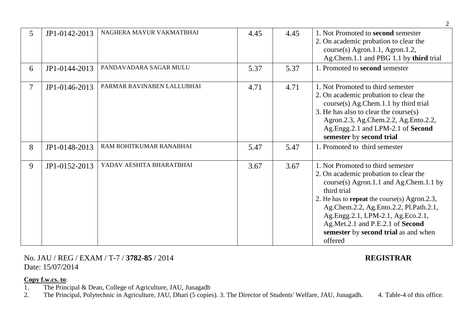| 5              | JP1-0142-2013 | NAGHERA MAYUR VAKMATBHAI   | 4.45 | 4.45 | 1. Not Promoted to second semester<br>2. On academic probation to clear the<br>course(s) Agron.1.1, Agron.1.2,<br>Ag.Chem.1.1 and PBG 1.1 by third trial                                                                                                                                                                                                         |
|----------------|---------------|----------------------------|------|------|------------------------------------------------------------------------------------------------------------------------------------------------------------------------------------------------------------------------------------------------------------------------------------------------------------------------------------------------------------------|
| 6              | JP1-0144-2013 | PANDAVADARA SAGAR MULU     | 5.37 | 5.37 | 1. Promoted to second semester                                                                                                                                                                                                                                                                                                                                   |
| $\overline{7}$ | JP1-0146-2013 | PARMAR RAVINABEN LALLUBHAI | 4.71 | 4.71 | 1. Not Promoted to third semester<br>2. On academic probation to clear the<br>$course(s)$ Ag. Chem. 1.1 by third trial<br>3. He has also to clear the course $(s)$<br>Agron.2.3, Ag.Chem.2.2, Ag.Ento.2.2,<br>Ag.Engg.2.1 and LPM-2.1 of Second<br>semester by second trial                                                                                      |
| 8              | JP1-0148-2013 | RAM ROHITKUMAR RANABHAI    | 5.47 | 5.47 | 1. Promoted to third semester                                                                                                                                                                                                                                                                                                                                    |
| 9              | JP1-0152-2013 | YADAV AESHITA BHARATBHAI   | 3.67 | 3.67 | 1. Not Promoted to third semester<br>2. On academic probation to clear the<br>course(s) Agron.1.1 and Ag.Chem.1.1 by<br>third trial<br>2. He has to <b>repeat</b> the course(s) Agron.2.3,<br>Ag.Chem.2.2, Ag.Ento.2.2, Pl.Path.2.1,<br>Ag.Engg.2.1, LPM-2.1, Ag.Eco.2.1,<br>Ag.Met.2.1 and P.E.2.1 of Second<br>semester by second trial as and when<br>offered |

### No. JAU / REG / EXAM / T-7 / **3782-85** / 2014 **REGISTRAR** Date: 15/07/2014

### **Copy f.w.cs. to**:

1. The Principal & Dean, College of Agriculture, JAU, Junagadh

2. The Principal, Polytechnic in Agriculture, JAU, Dhari (5 copies). 3. The Director of Students' Welfare, JAU, Junagadh. 4. Table-4 of this office.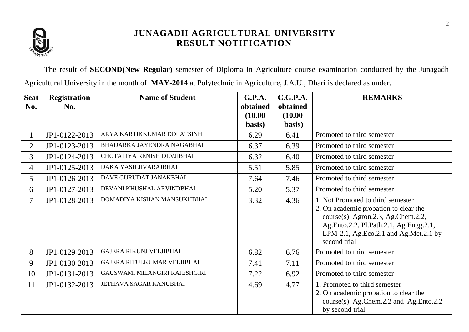

The result of **SECOND(New Regular)** semester of Diploma in Agriculture course examination conducted by the Junagadh Agricultural University in the month of **MAY-2014** at Polytechnic in Agriculture, J.A.U., Dhari is declared as under.

| <b>Seat</b>    | <b>Registration</b> | <b>Name of Student</b>         | G.P.A.            | C.G.P.A.          | <b>REMARKS</b>                                                                                                                                                                                                     |
|----------------|---------------------|--------------------------------|-------------------|-------------------|--------------------------------------------------------------------------------------------------------------------------------------------------------------------------------------------------------------------|
| No.            | No.                 |                                | obtained          | obtained          |                                                                                                                                                                                                                    |
|                |                     |                                | (10.00)<br>basis) | (10.00)<br>basis) |                                                                                                                                                                                                                    |
|                |                     |                                |                   |                   |                                                                                                                                                                                                                    |
| 1              | JP1-0122-2013       | ARYA KARTIKKUMAR DOLATSINH     | 6.29              | 6.41              | Promoted to third semester                                                                                                                                                                                         |
| $\overline{2}$ | JP1-0123-2013       | BHADARKA JAYENDRA NAGABHAI     | 6.37              | 6.39              | Promoted to third semester                                                                                                                                                                                         |
| $\overline{3}$ | JP1-0124-2013       | CHOTALIYA RENISH DEVJIBHAI     | 6.32              | 6.40              | Promoted to third semester                                                                                                                                                                                         |
| $\overline{4}$ | JP1-0125-2013       | DAKA YASH JIVARAJBHAI          | 5.51              | 5.85              | Promoted to third semester                                                                                                                                                                                         |
| 5              | JP1-0126-2013       | DAVE GURUDAT JANAKBHAI         | 7.64              | 7.46              | Promoted to third semester                                                                                                                                                                                         |
| 6              | JP1-0127-2013       | DEVANI KHUSHAL ARVINDBHAI      | 5.20              | 5.37              | Promoted to third semester                                                                                                                                                                                         |
| $\overline{7}$ | JP1-0128-2013       | DOMADIYA KISHAN MANSUKHBHAI    | 3.32              | 4.36              | 1. Not Promoted to third semester<br>2. On academic probation to clear the<br>course(s) Agron.2.3, Ag.Chem.2.2,<br>Ag.Ento.2.2, Pl.Path.2.1, Ag.Engg.2.1,<br>LPM-2.1, Ag.Eco.2.1 and Ag.Met.2.1 by<br>second trial |
| 8              | JP1-0129-2013       | <b>GAJERA RIKUNJ VELJIBHAI</b> | 6.82              | 6.76              | Promoted to third semester                                                                                                                                                                                         |
| 9              | JP1-0130-2013       | GAJERA RITULKUMAR VELJIBHAI    | 7.41              | 7.11              | Promoted to third semester                                                                                                                                                                                         |
| 10             | JP1-0131-2013       | GAUSWAMI MILANGIRI RAJESHGIRI  | 7.22              | 6.92              | Promoted to third semester                                                                                                                                                                                         |
| 11             | JP1-0132-2013       | JETHAVA SAGAR KANUBHAI         | 4.69              | 4.77              | 1. Promoted to third semester<br>2. On academic probation to clear the<br>course(s) Ag.Chem.2.2 and Ag.Ento.2.2<br>by second trial                                                                                 |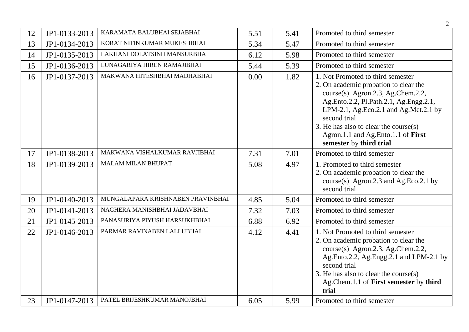|    |               |                                                            |      |      | 2                                                                                                                                                                                                                                                                                                                               |
|----|---------------|------------------------------------------------------------|------|------|---------------------------------------------------------------------------------------------------------------------------------------------------------------------------------------------------------------------------------------------------------------------------------------------------------------------------------|
| 12 | JP1-0133-2013 | KARAMATA BALUBHAI SEJABHAI                                 | 5.51 | 5.41 | Promoted to third semester                                                                                                                                                                                                                                                                                                      |
| 13 | JP1-0134-2013 | KORAT NITINKUMAR MUKESHBHAI                                | 5.34 | 5.47 | Promoted to third semester                                                                                                                                                                                                                                                                                                      |
| 14 | JP1-0135-2013 | LAKHANI DOLATSINH MANSURBHAI                               | 6.12 | 5.98 | Promoted to third semester                                                                                                                                                                                                                                                                                                      |
| 15 | JP1-0136-2013 | LUNAGARIYA HIREN RAMAJIBHAI                                | 5.44 | 5.39 | Promoted to third semester                                                                                                                                                                                                                                                                                                      |
| 16 | JP1-0137-2013 | MAKWANA HITESHBHAI MADHABHAI                               | 0.00 | 1.82 | 1. Not Promoted to third semester<br>2. On academic probation to clear the<br>course(s) Agron.2.3, Ag.Chem.2.2,<br>Ag.Ento.2.2, Pl.Path.2.1, Ag.Engg.2.1,<br>LPM-2.1, Ag.Eco.2.1 and Ag.Met.2.1 by<br>second trial<br>3. He has also to clear the course $(s)$<br>Agron.1.1 and Ag.Ento.1.1 of First<br>semester by third trial |
| 17 | JP1-0138-2013 | MAKWANA VISHALKUMAR RAVJIBHAI                              | 7.31 | 7.01 | Promoted to third semester                                                                                                                                                                                                                                                                                                      |
| 18 | JP1-0139-2013 | <b>MALAM MILAN BHUPAT</b>                                  | 5.08 | 4.97 | 1. Promoted to third semester<br>2. On academic probation to clear the<br>course(s) Agron.2.3 and Ag.Eco.2.1 by<br>second trial                                                                                                                                                                                                 |
| 19 | JP1-0140-2013 | MUNGALAPARA KRISHNABEN PRAVINBHAI                          | 4.85 | 5.04 | Promoted to third semester                                                                                                                                                                                                                                                                                                      |
| 20 | JP1-0141-2013 | NAGHERA MANISHBHAI JADAVBHAI                               | 7.32 | 7.03 | Promoted to third semester                                                                                                                                                                                                                                                                                                      |
| 21 | JP1-0145-2013 | PANASURIYA PIYUSH HARSUKHBHAI                              | 6.88 | 6.92 | Promoted to third semester                                                                                                                                                                                                                                                                                                      |
| 22 | JP1-0146-2013 | PARMAR RAVINABEN LALLUBHAI<br>PATEL BRIJESHKUMAR MANOJBHAI | 4.12 | 4.41 | 1. Not Promoted to third semester<br>2. On academic probation to clear the<br>course(s) Agron.2.3, Ag.Chem.2.2,<br>Ag.Ento.2.2, Ag.Engg.2.1 and LPM-2.1 by<br>second trial<br>3. He has also to clear the course $(s)$<br>Ag.Chem.1.1 of First semester by third<br>trial<br>Promoted to third semester                         |
| 23 | JP1-0147-2013 |                                                            | 6.05 | 5.99 |                                                                                                                                                                                                                                                                                                                                 |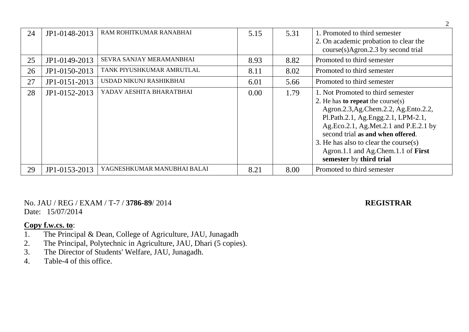| 24 | JP1-0148-2013 | RAM ROHITKUMAR RANABHAI     | 5.15 | 5.31 | 1. Promoted to third semester<br>2. On academic probation to clear the<br>$course(s)$ Agron.2.3 by second trial                                                                                                                                                                                                                                     |
|----|---------------|-----------------------------|------|------|-----------------------------------------------------------------------------------------------------------------------------------------------------------------------------------------------------------------------------------------------------------------------------------------------------------------------------------------------------|
| 25 | JP1-0149-2013 | SEVRA SANJAY MERAMANBHAI    | 8.93 | 8.82 | Promoted to third semester                                                                                                                                                                                                                                                                                                                          |
| 26 | JP1-0150-2013 | TANK PIYUSHKUMAR AMRUTLAL   | 8.11 | 8.02 | Promoted to third semester                                                                                                                                                                                                                                                                                                                          |
| 27 | JP1-0151-2013 | USDAD NIKUNJ RASHIKBHAI     | 6.01 | 5.66 | Promoted to third semester                                                                                                                                                                                                                                                                                                                          |
| 28 | JP1-0152-2013 | YADAV AESHITA BHARATBHAI    | 0.00 | 1.79 | 1. Not Promoted to third semester<br>2. He has <b>to repeat</b> the course(s)<br>Agron.2.3, Ag.Chem.2.2, Ag.Ento.2.2,<br>Pl.Path.2.1, Ag.Engg.2.1, LPM-2.1,<br>Ag.Eco.2.1, Ag.Met.2.1 and P.E.2.1 by<br>second trial as and when offered.<br>3. He has also to clear the course(s)<br>Agron.1.1 and Ag.Chem.1.1 of First<br>semester by third trial |
| 29 | JP1-0153-2013 | YAGNESHKUMAR MANUBHAI BALAI | 8.21 | 8.00 | Promoted to third semester                                                                                                                                                                                                                                                                                                                          |

No. JAU / REG / EXAM / T-7 / **3786-89**/ 2014 **REGISTRAR** Date: 15/07/2014

- 1. The Principal & Dean, College of Agriculture, JAU, Junagadh
- 2. The Principal, Polytechnic in Agriculture, JAU, Dhari (5 copies).
- 3. The Director of Students' Welfare, JAU, Junagadh.
- 4. Table-4 of this office.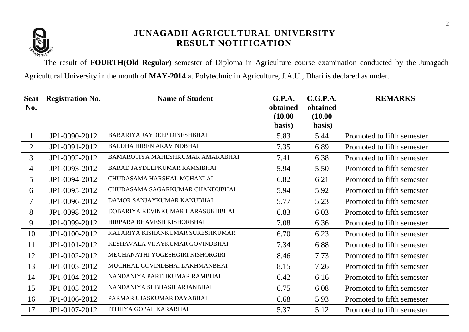

The result of **FOURTH(Old Regular)** semester of Diploma in Agriculture course examination conducted by the Junagadh Agricultural University in the month of **MAY-2014** at Polytechnic in Agriculture, J.A.U., Dhari is declared as under.

| <b>Seat</b>    | <b>Registration No.</b> | <b>Name of Student</b>             | G.P.A.   | C.G.P.A. | <b>REMARKS</b>             |
|----------------|-------------------------|------------------------------------|----------|----------|----------------------------|
| No.            |                         |                                    | obtained | obtained |                            |
|                |                         |                                    | (10.00)  | (10.00)  |                            |
|                |                         |                                    | basis)   | basis)   |                            |
|                | JP1-0090-2012           | <b>BABARIYA JAYDEEP DINESHBHAI</b> | 5.83     | 5.44     | Promoted to fifth semester |
| $\overline{2}$ | JP1-0091-2012           | <b>BALDHA HIREN ARAVINDBHAI</b>    | 7.35     | 6.89     | Promoted to fifth semester |
| 3              | JP1-0092-2012           | BAMAROTIYA MAHESHKUMAR AMARABHAI   | 7.41     | 6.38     | Promoted to fifth semester |
| 4              | JP1-0093-2012           | BARAD JAYDEEPKUMAR RAMSIBHAI       | 5.94     | 5.50     | Promoted to fifth semester |
| 5 <sup>5</sup> | JP1-0094-2012           | CHUDASAMA HARSHAL MOHANLAL         | 6.82     | 6.21     | Promoted to fifth semester |
| 6              | JP1-0095-2012           | CHUDASAMA SAGARKUMAR CHANDUBHAI    | 5.94     | 5.92     | Promoted to fifth semester |
| $\tau$         | JP1-0096-2012           | DAMOR SANJAYKUMAR KANUBHAI         | 5.77     | 5.23     | Promoted to fifth semester |
| 8              | JP1-0098-2012           | DOBARIYA KEVINKUMAR HARASUKHBHAI   | 6.83     | 6.03     | Promoted to fifth semester |
| 9              | JP1-0099-2012           | HIRPARA BHAVESH KISHORBHAI         | 7.08     | 6.36     | Promoted to fifth semester |
| 10             | JP1-0100-2012           | KALARIYA KISHANKUMAR SURESHKUMAR   | 6.70     | 6.23     | Promoted to fifth semester |
| 11             | JP1-0101-2012           | KESHAVALA VIJAYKUMAR GOVINDBHAI    | 7.34     | 6.88     | Promoted to fifth semester |
| 12             | JP1-0102-2012           | MEGHANATHI YOGESHGIRI KISHORGIRI   | 8.46     | 7.73     | Promoted to fifth semester |
| 13             | JP1-0103-2012           | MUCHHAL GOVINDBHAI LAKHMANBHAI     | 8.15     | 7.26     | Promoted to fifth semester |
| 14             | JP1-0104-2012           | NANDANIYA PARTHKUMAR RAMBHAI       | 6.42     | 6.16     | Promoted to fifth semester |
| 15             | JP1-0105-2012           | NANDANIYA SUBHASH ARJANBHAI        | 6.75     | 6.08     | Promoted to fifth semester |
| 16             | JP1-0106-2012           | PARMAR UJASKUMAR DAYABHAI          | 6.68     | 5.93     | Promoted to fifth semester |
| 17             | JP1-0107-2012           | PITHIYA GOPAL KARABHAI             | 5.37     | 5.12     | Promoted to fifth semester |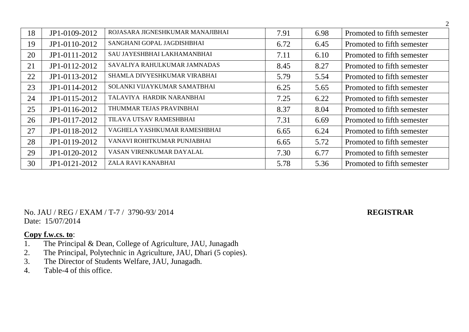| 18 | JP1-0109-2012 | ROJASARA JIGNESHKUMAR MANAJIBHAI | 7.91 | 6.98 | Promoted to fifth semester |
|----|---------------|----------------------------------|------|------|----------------------------|
| 19 | JP1-0110-2012 | SANGHANI GOPAL JAGDISHBHAI       | 6.72 | 6.45 | Promoted to fifth semester |
| 20 | JP1-0111-2012 | SAU JAYESHBHAI LAKHAMANBHAI      | 7.11 | 6.10 | Promoted to fifth semester |
| 21 | JP1-0112-2012 | SAVALIYA RAHULKUMAR JAMNADAS     | 8.45 | 8.27 | Promoted to fifth semester |
| 22 | JP1-0113-2012 | SHAMLA DIVYESHKUMAR VIRABHAI     | 5.79 | 5.54 | Promoted to fifth semester |
| 23 | JP1-0114-2012 | SOLANKI VIJAYKUMAR SAMATBHAI     | 6.25 | 5.65 | Promoted to fifth semester |
| 24 | JP1-0115-2012 | TALAVIYA HARDIK NARANBHAI        | 7.25 | 6.22 | Promoted to fifth semester |
| 25 | JP1-0116-2012 | THUMMAR TEJAS PRAVINBHAI         | 8.37 | 8.04 | Promoted to fifth semester |
| 26 | JP1-0117-2012 | TILAVA UTSAV RAMESHBHAI          | 7.31 | 6.69 | Promoted to fifth semester |
| 27 | JP1-0118-2012 | VAGHELA YASHKUMAR RAMESHBHAI     | 6.65 | 6.24 | Promoted to fifth semester |
| 28 | JP1-0119-2012 | VANAVI ROHITKUMAR PUNJABHAI      | 6.65 | 5.72 | Promoted to fifth semester |
| 29 | JP1-0120-2012 | VASAN VIRENKUMAR DAYALAL         | 7.30 | 6.77 | Promoted to fifth semester |
| 30 | JP1-0121-2012 | ZALA RAVI KANABHAI               | 5.78 | 5.36 | Promoted to fifth semester |

No. JAU / REG / EXAM / T-7 / 3790-93/ 2014 **REGISTRAR** Date: 15/07/2014

- 1. The Principal & Dean, College of Agriculture, JAU, Junagadh<br>2. The Principal, Polytechnic in Agriculture, JAU, Dhari (5 copies
- The Principal, Polytechnic in Agriculture, JAU, Dhari (5 copies).
- 3. The Director of Students Welfare, JAU, Junagadh.
- 4. Table-4 of this office.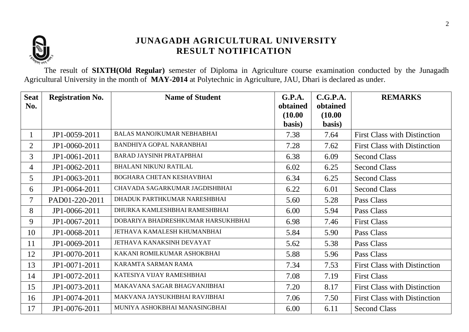

The result of **SIXTH(Old Regular)** semester of Diploma in Agriculture course examination conducted by the Junagadh Agricultural University in the month of **MAY-2014** at Polytechnic in Agriculture, JAU, Dhari is declared as under.

| <b>Seat</b>    | <b>Registration No.</b> | <b>Name of Student</b>             | G.P.A.              | C.G.P.A.            | <b>REMARKS</b>                      |
|----------------|-------------------------|------------------------------------|---------------------|---------------------|-------------------------------------|
| No.            |                         |                                    | obtained<br>(10.00) | obtained<br>(10.00) |                                     |
|                |                         |                                    | basis)              | basis)              |                                     |
| $\mathbf 1$    | JP1-0059-2011           | <b>BALAS MANOJKUMAR NEBHABHAI</b>  | 7.38                | 7.64                | <b>First Class with Distinction</b> |
| $\overline{2}$ | JP1-0060-2011           | <b>BANDHIYA GOPAL NARANBHAI</b>    | 7.28                | 7.62                | <b>First Class with Distinction</b> |
| $\mathfrak{Z}$ | JP1-0061-2011           | <b>BARAD JAYSINH PRATAPBHAI</b>    | 6.38                | 6.09                | <b>Second Class</b>                 |
| $\overline{4}$ | JP1-0062-2011           | <b>BHALANI NIKUNJ RATILAL</b>      | 6.02                | 6.25                | <b>Second Class</b>                 |
| 5 <sup>5</sup> | JP1-0063-2011           | BOGHARA CHETAN KESHAVBHAI          | 6.34                | 6.25                | <b>Second Class</b>                 |
| 6              | JP1-0064-2011           | CHAVADA SAGARKUMAR JAGDISHBHAI     | 6.22                | 6.01                | <b>Second Class</b>                 |
| $\tau$         | PAD01-220-2011          | DHADUK PARTHKUMAR NARESHBHAI       | 5.60                | 5.28                | Pass Class                          |
| 8              | JP1-0066-2011           | DHURKA KAMLESHBHAI RAMESHBHAI      | 6.00                | 5.94                | Pass Class                          |
| 9              | JP1-0067-2011           | DOBARIYA BHADRESHKUMAR HARSUKHBHAI | 6.98                | 7.46                | <b>First Class</b>                  |
| 10             | JP1-0068-2011           | JETHAVA KAMALESH KHUMANBHAI        | 5.84                | 5.90                | Pass Class                          |
| 11             | JP1-0069-2011           | JETHAVA KANAKSINH DEVAYAT          | 5.62                | 5.38                | Pass Class                          |
| 12             | JP1-0070-2011           | KAKANI ROMILKUMAR ASHOKBHAI        | 5.88                | 5.96                | Pass Class                          |
| 13             | JP1-0071-2011           | KARAMTA SARMAN RAMA                | 7.34                | 7.53                | <b>First Class with Distinction</b> |
| 14             | JP1-0072-2011           | KATESIYA VIJAY RAMESHBHAI          | 7.08                | 7.19                | <b>First Class</b>                  |
| 15             | JP1-0073-2011           | MAKAVANA SAGAR BHAGVANJIBHAI       | 7.20                | 8.17                | <b>First Class with Distinction</b> |
| 16             | JP1-0074-2011           | MAKVANA JAYSUKHBHAI RAVJIBHAI      | 7.06                | 7.50                | <b>First Class with Distinction</b> |
| 17             | JP1-0076-2011           | MUNIYA ASHOKBHAI MANASINGBHAI      | 6.00                | 6.11                | <b>Second Class</b>                 |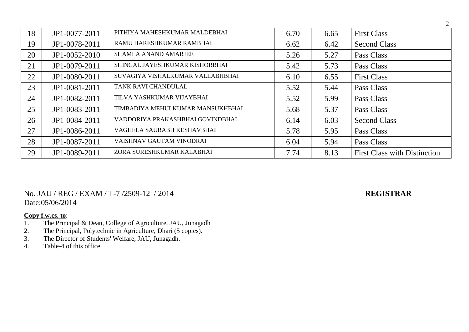| 18 | JP1-0077-2011 | PITHIYA MAHESHKUMAR MALDEBHAI    | 6.70 | 6.65 | <b>First Class</b>                  |
|----|---------------|----------------------------------|------|------|-------------------------------------|
| 19 | JP1-0078-2011 | RAMU HARESHKUMAR RAMBHAI         | 6.62 | 6.42 | <b>Second Class</b>                 |
| 20 | JP1-0052-2010 | <b>SHAMLA ANAND AMARJEE</b>      | 5.26 | 5.27 | Pass Class                          |
| 21 | JP1-0079-2011 | SHINGAL JAYESHKUMAR KISHORBHAI   | 5.42 | 5.73 | Pass Class                          |
| 22 | JP1-0080-2011 | SUVAGIYA VISHALKUMAR VALLABHBHAI | 6.10 | 6.55 | <b>First Class</b>                  |
| 23 | JP1-0081-2011 | TANK RAVI CHANDULAL              | 5.52 | 5.44 | Pass Class                          |
| 24 | JP1-0082-2011 | TILVA YASHKUMAR VIJAYBHAI        | 5.52 | 5.99 | Pass Class                          |
| 25 | JP1-0083-2011 | TIMBADIYA MEHULKUMAR MANSUKHBHAI | 5.68 | 5.37 | Pass Class                          |
| 26 | JP1-0084-2011 | VADDORIYA PRAKASHBHAI GOVINDBHAI | 6.14 | 6.03 | <b>Second Class</b>                 |
| 27 | JP1-0086-2011 | VAGHELA SAURABH KESHAVBHAI       | 5.78 | 5.95 | Pass Class                          |
| 28 | JP1-0087-2011 | VAISHNAV GAUTAM VINODRAI         | 6.04 | 5.94 | Pass Class                          |
| 29 | JP1-0089-2011 | ZORA SURESHKUMAR KALABHAI        | 7.74 | 8.13 | <b>First Class with Distinction</b> |

No. JAU / REG / EXAM / T-7 /2509-12 / 2014 **REGISTRAR** Date:05/06/2014

- 1. The Principal & Dean, College of Agriculture, JAU, Junagadh<br>2. The Principal, Polytechnic in Agriculture, Dhari (5 copies).
- 2. The Principal, Polytechnic in Agriculture, Dhari (5 copies).
- 3. The Director of Students' Welfare, JAU, Junagadh.
- 4. Table-4 of this office.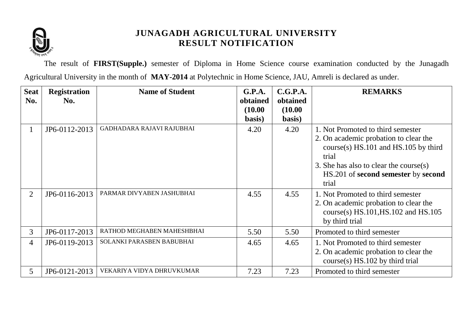

The result of **FIRST(Supple.)** semester of Diploma in Home Science course examination conducted by the Junagadh Agricultural University in the month of **MAY-2014** at Polytechnic in Home Science, JAU, Amreli is declared as under.

| <b>Seat</b>    | <b>Registration</b> | <b>Name of Student</b>     | G.P.A.   | C.G.P.A. | <b>REMARKS</b>                             |
|----------------|---------------------|----------------------------|----------|----------|--------------------------------------------|
| No.            | No.                 |                            | obtained | obtained |                                            |
|                |                     |                            | (10.00)  | (10.00)  |                                            |
|                |                     |                            | basis)   | basis)   |                                            |
| 1              | JP6-0112-2013       | GADHADARA RAJAVI RAJUBHAI  | 4.20     | 4.20     | 1. Not Promoted to third semester          |
|                |                     |                            |          |          | 2. On academic probation to clear the      |
|                |                     |                            |          |          | $course(s)$ HS.101 and HS.105 by third     |
|                |                     |                            |          |          | trial                                      |
|                |                     |                            |          |          | 3. She has also to clear the course(s)     |
|                |                     |                            |          |          | HS.201 of second semester by second        |
|                |                     |                            |          |          | trial                                      |
| $\overline{2}$ | JP6-0116-2013       | PARMAR DIVYABEN JASHUBHAI  | 4.55     | 4.55     | 1. Not Promoted to third semester          |
|                |                     |                            |          |          | 2. On academic probation to clear the      |
|                |                     |                            |          |          | course(s) $HS.101$ , $HS.102$ and $HS.105$ |
|                |                     |                            |          |          | by third trial                             |
| 3              | JP6-0117-2013       | RATHOD MEGHABEN MAHESHBHAI | 5.50     | 5.50     | Promoted to third semester                 |
| 4              | JP6-0119-2013       | SOLANKI PARASBEN BABUBHAI  | 4.65     | 4.65     | 1. Not Promoted to third semester          |
|                |                     |                            |          |          | 2. On academic probation to clear the      |
|                |                     |                            |          |          | $course(s)$ HS.102 by third trial          |
| $\mathfrak{S}$ | JP6-0121-2013       | VEKARIYA VIDYA DHRUVKUMAR  | 7.23     | 7.23     | Promoted to third semester                 |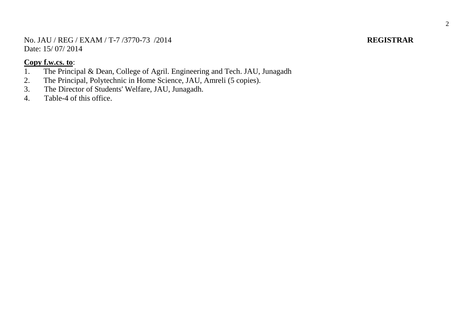No. JAU / REG / EXAM / T-7 /3770-73 /2014 **REGISTRAR** Date: 15/07/2014

- 1. The Principal & Dean, College of Agril. Engineering and Tech. JAU, Junagadh 2. The Principal. Polytechnic in Home Science. JAU. Amreli (5 copies).
- The Principal, Polytechnic in Home Science, JAU, Amreli (5 copies).
- 3. The Director of Students' Welfare, JAU, Junagadh.<br>4. Table-4 of this office.
- Table-4 of this office.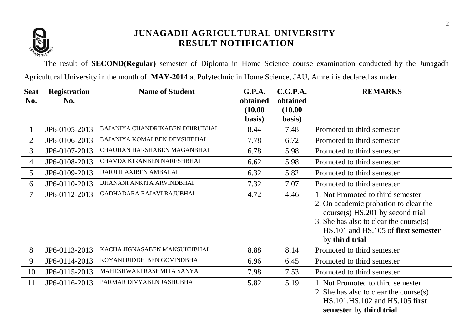

The result of **SECOND(Regular)** semester of Diploma in Home Science course examination conducted by the Junagadh Agricultural University in the month of **MAY-2014** at Polytechnic in Home Science, JAU, Amreli is declared as under.

| <b>Seat</b><br>No. | <b>Registration</b><br>No. | <b>Name of Student</b>          | G.P.A.<br>obtained | C.G.P.A.<br>obtained | <b>REMARKS</b>                                                                                                                               |
|--------------------|----------------------------|---------------------------------|--------------------|----------------------|----------------------------------------------------------------------------------------------------------------------------------------------|
|                    |                            |                                 | (10.00)            | (10.00)              |                                                                                                                                              |
|                    |                            |                                 | basis)             | basis)               |                                                                                                                                              |
| $\mathbf 1$        | JP6-0105-2013              | BAJANIYA CHANDRIKABEN DHIRUBHAI | 8.44               | 7.48                 | Promoted to third semester                                                                                                                   |
| $\overline{2}$     | JP6-0106-2013              | BAJANIYA KOMALBEN DEVSHIBHAI    | 7.78               | 6.72                 | Promoted to third semester                                                                                                                   |
| $\overline{3}$     | JP6-0107-2013              | CHAUHAN HARSHABEN MAGANBHAI     | 6.78               | 5.98                 | Promoted to third semester                                                                                                                   |
| $\overline{4}$     | JP6-0108-2013              | CHAVDA KIRANBEN NARESHBHAI      | 6.62               | 5.98                 | Promoted to third semester                                                                                                                   |
| 5                  | JP6-0109-2013              | DARJI ILAXIBEN AMBALAL          | 6.32               | 5.82                 | Promoted to third semester                                                                                                                   |
| 6                  | JP6-0110-2013              | DHANANI ANKITA ARVINDBHAI       | 7.32               | 7.07                 | Promoted to third semester                                                                                                                   |
| 7                  | JP6-0112-2013              | GADHADARA RAJAVI RAJUBHAI       | 4.72               | 4.46                 | 1. Not Promoted to third semester<br>2. On academic probation to clear the<br>course(s) HS.201 by second trial                               |
|                    |                            |                                 |                    |                      | 3. She has also to clear the course(s)<br>HS.101 and HS.105 of first semester<br>by third trial                                              |
| 8                  | JP6-0113-2013              | KACHA JIGNASABEN MANSUKHBHAI    | 8.88               | 8.14                 | Promoted to third semester                                                                                                                   |
| 9                  | JP6-0114-2013              | KOYANI RIDDHIBEN GOVINDBHAI     | 6.96               | 6.45                 | Promoted to third semester                                                                                                                   |
| 10                 | JP6-0115-2013              | MAHESHWARI RASHMITA SANYA       | 7.98               | 7.53                 | Promoted to third semester                                                                                                                   |
| 11                 | JP6-0116-2013              | PARMAR DIVYABEN JASHUBHAI       | 5.82               | 5.19                 | 1. Not Promoted to third semester<br>2. She has also to clear the course $(s)$<br>HS.101, HS.102 and HS.105 first<br>semester by third trial |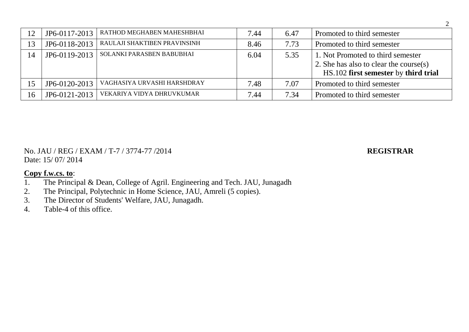| 12             | JP6-0117-2013 | RATHOD MEGHABEN MAHESHBHAI   | 7.44 | 6.47 | Promoted to third semester             |
|----------------|---------------|------------------------------|------|------|----------------------------------------|
| 13             | JP6-0118-2013 | RAULAJI SHAKTIBEN PRAVINSINH | 8.46 | 7.73 | Promoted to third semester             |
| $\overline{A}$ | JP6-0119-2013 | SOLANKI PARASBEN BABUBHAI    | 6.04 | 5.35 | 1. Not Promoted to third semester      |
|                |               |                              |      |      | 2. She has also to clear the course(s) |
|                |               |                              |      |      | HS.102 first semester by third trial   |
| 15             | JP6-0120-2013 | VAGHASIYA URVASHI HARSHDRAY  | 7.48 | 7.07 | Promoted to third semester             |
| 16             | JP6-0121-2013 | VEKARIYA VIDYA DHRUVKUMAR    | 7.44 | 7.34 | Promoted to third semester             |

No. JAU / REG / EXAM / T-7 / 3774-77 /2014 **REGISTRAR** Date: 15/ 07/ 2014

- 1. The Principal & Dean, College of Agril. Engineering and Tech. JAU, Junagadh
- 2. The Principal, Polytechnic in Home Science, JAU, Amreli (5 copies).<br>3. The Director of Students' Welfare, JAU, Junagadh.
- The Director of Students' Welfare, JAU, Junagadh.
- 4. Table-4 of this office.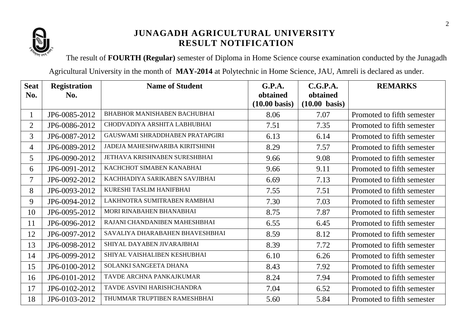

The result of **FOURTH (Regular)** semester of Diploma in Home Science course examination conducted by the Junagadh

Agricultural University in the month of **MAY-2014** at Polytechnic in Home Science, JAU, Amreli is declared as under.

| <b>Seat</b>    | <b>Registration</b> | <b>Name of Student</b>              | G.P.A.                  | C.G.P.A.                | <b>REMARKS</b>             |
|----------------|---------------------|-------------------------------------|-------------------------|-------------------------|----------------------------|
| No.            | No.                 |                                     | obtained                | obtained                |                            |
|                |                     |                                     | $(10.00 \text{ basis})$ | $(10.00 \text{ basis})$ |                            |
| $\mathbf{1}$   | JP6-0085-2012       | <b>BHABHOR MANISHABEN BACHUBHAI</b> | 8.06                    | 7.07                    | Promoted to fifth semester |
| $\overline{2}$ | JP6-0086-2012       | CHODVADIYA ARSHITA LABHUBHAI        | 7.51                    | 7.35                    | Promoted to fifth semester |
| 3              | JP6-0087-2012       | GAUSWAMI SHRADDHABEN PRATAPGIRI     | 6.13                    | 6.14                    | Promoted to fifth semester |
| $\overline{4}$ | JP6-0089-2012       | JADEJA MAHESHWARIBA KIRITSHINH      | 8.29                    | 7.57                    | Promoted to fifth semester |
| 5 <sup>5</sup> | JP6-0090-2012       | JETHAVA KRISHNABEN SURESHBHAI       | 9.66                    | 9.08                    | Promoted to fifth semester |
| 6              | JP6-0091-2012       | KACHCHOT SIMABEN KANABHAI           | 9.66                    | 9.11                    | Promoted to fifth semester |
| 7              | JP6-0092-2012       | KACHHADIYA SARIKABEN SAVJIBHAI      | 6.69                    | 7.13                    | Promoted to fifth semester |
| 8              | JP6-0093-2012       | KURESHI TASLIM HANIFBHAI            | 7.55                    | 7.51                    | Promoted to fifth semester |
| 9              | JP6-0094-2012       | LAKHNOTRA SUMITRABEN RAMBHAI        | 7.30                    | 7.03                    | Promoted to fifth semester |
| 10             | JP6-0095-2012       | MORI RINABAHEN BHANABHAI            | 8.75                    | 7.87                    | Promoted to fifth semester |
| 11             | JP6-0096-2012       | RAJANI CHANDANIBEN MAHESHBHAI       | 6.55                    | 6.45                    | Promoted to fifth semester |
| 12             | JP6-0097-2012       | SAVALIYA DHARABAHEN BHAVESHBHAI     | 8.59                    | 8.12                    | Promoted to fifth semester |
| 13             | JP6-0098-2012       | SHIYAL DAYABEN JIVARAJBHAI          | 8.39                    | 7.72                    | Promoted to fifth semester |
| 14             | JP6-0099-2012       | SHIYAL VAISHALIBEN KESHUBHAI        | 6.10                    | 6.26                    | Promoted to fifth semester |
| 15             | JP6-0100-2012       | SOLANKI SANGEETA DHANA              | 8.43                    | 7.92                    | Promoted to fifth semester |
| 16             | JP6-0101-2012       | TAVDE ARCHNA PANKAJKUMAR            | 8.24                    | 7.94                    | Promoted to fifth semester |
| 17             | JP6-0102-2012       | TAVDE ASVINI HARISHCHANDRA          | 7.04                    | 6.52                    | Promoted to fifth semester |
| 18             | JP6-0103-2012       | THUMMAR TRUPTIBEN RAMESHBHAI        | 5.60                    | 5.84                    | Promoted to fifth semester |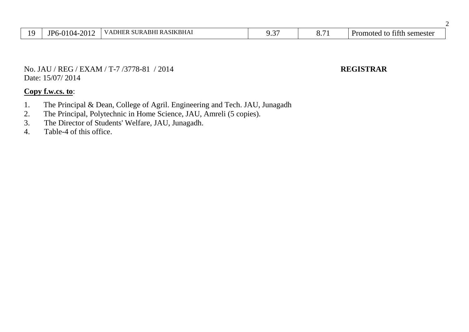| O | $\sim$<br>רו)ר -<br>D6<br>I IZ | `SIKBHA.<br>.BF<br>$T\mathbf{D} \Lambda$<br>∣∖⊔∟<br>. .<br>. .<br>$\cdot$ $\cdot$ $\cdot$ | $\sim$<br>. . | - -<br>。. <i>.</i> | $\sim$<br>レャ<br>semester<br>romoted |
|---|--------------------------------|-------------------------------------------------------------------------------------------|---------------|--------------------|-------------------------------------|
|---|--------------------------------|-------------------------------------------------------------------------------------------|---------------|--------------------|-------------------------------------|

2

No. JAU / REG / EXAM / T-7 /3778-81 / 2014 **REGISTRAR** Date: 15/07/ 2014

- 1. The Principal & Dean, College of Agril. Engineering and Tech. JAU, Junagadh
- 2. The Principal, Polytechnic in Home Science, JAU, Amreli (5 copies).
- 3. The Director of Students' Welfare, JAU, Junagadh.
- 4. Table-4 of this office.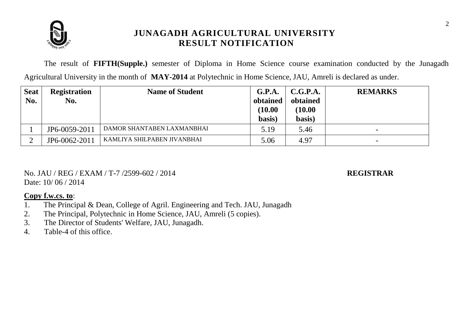

The result of **FIFTH(Supple.)** semester of Diploma in Home Science course examination conducted by the Junagadh Agricultural University in the month of **MAY-2014** at Polytechnic in Home Science, JAU, Amreli is declared as under.

| <b>Seat</b><br>No. | <b>Registration</b><br>No. | <b>Name of Student</b>      | G.P.A.<br>obtained<br>(10.00)<br>basis) | C.G.P.A.<br>obtained<br>(10.00)<br>basis) | <b>REMARKS</b>           |
|--------------------|----------------------------|-----------------------------|-----------------------------------------|-------------------------------------------|--------------------------|
|                    | JP6-0059-2011              | DAMOR SHANTABEN LAXMANBHAI  | 5.19                                    | 5.46                                      | $\overline{\phantom{0}}$ |
|                    | JP6-0062-2011              | KAMLIYA SHILPABEN JIVANBHAI | 5.06                                    | 4.97                                      | $\overline{\phantom{0}}$ |

No. JAU / REG / EXAM / T-7 /2599-602 / 2014 **REGISTRAR** Date:  $10/06/2014$ 

- 1. The Principal & Dean, College of Agril. Engineering and Tech. JAU, Junagadh
- 2. The Principal, Polytechnic in Home Science, JAU, Amreli (5 copies).
- 3. The Director of Students' Welfare, JAU, Junagadh.
- 4. Table-4 of this office.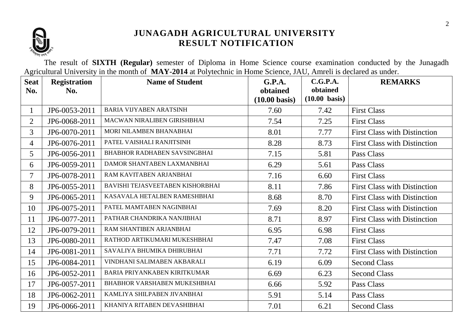

The result of **SIXTH (Regular)** semester of Diploma in Home Science course examination conducted by the Junagadh Agricultural University in the month of **MAY-2014** at Polytechnic in Home Science, JAU, Amreli is declared as under.

| <b>Seat</b>    | <b>Registration</b> | <b>Name of Student</b>              | <b>G.P.A.</b>                       | C.G.P.A.                            | <b>REMARKS</b>                      |
|----------------|---------------------|-------------------------------------|-------------------------------------|-------------------------------------|-------------------------------------|
| No.            | No.                 |                                     | obtained<br>$(10.00 \text{ basis})$ | obtained<br>$(10.00 \text{ basis})$ |                                     |
| $\mathbf{1}$   | JP6-0053-2011       | <b>BARIA VIJYABEN ARATSINH</b>      | 7.60                                | 7.42                                | <b>First Class</b>                  |
| $\overline{2}$ | JP6-0068-2011       | MACWAN NIRALIBEN GIRISHBHAI         | 7.54                                | 7.25                                | <b>First Class</b>                  |
| $\overline{3}$ | JP6-0070-2011       | MORI NILAMBEN BHANABHAI             | 8.01                                | 7.77                                | <b>First Class with Distinction</b> |
| $\overline{4}$ | JP6-0076-2011       | PATEL VAISHALI RANJITSINH           | 8.28                                | 8.73                                | <b>First Class with Distinction</b> |
| 5              | JP6-0056-2011       | <b>BHABHOR RADHABEN SAVSINGBHAI</b> | 7.15                                | 5.81                                | Pass Class                          |
| 6              | JP6-0059-2011       | DAMOR SHANTABEN LAXMANBHAI          | 6.29                                | 5.61                                | Pass Class                          |
| $\tau$         | JP6-0078-2011       | RAM KAVITABEN ARJANBHAI             | 7.16                                | 6.60                                | <b>First Class</b>                  |
| 8              | JP6-0055-2011       | BAVISHI TEJASVEETABEN KISHORBHAI    | 8.11                                | 7.86                                | <b>First Class with Distinction</b> |
| 9              | JP6-0065-2011       | KASAVALA HETALBEN RAMESHBHAI        | 8.68                                | 8.70                                | <b>First Class with Distinction</b> |
| 10             | JP6-0075-2011       | PATEL MAMTABEN NAGINBHAI            | 7.69                                | 8.20                                | <b>First Class with Distinction</b> |
| 11             | JP6-0077-2011       | PATHAR CHANDRIKA NANJIBHAI          | 8.71                                | 8.97                                | <b>First Class with Distinction</b> |
| 12             | JP6-0079-2011       | RAM SHANTIBEN ARJANBHAI             | 6.95                                | 6.98                                | <b>First Class</b>                  |
| 13             | JP6-0080-2011       | RATHOD ARTIKUMARI MUKESHBHAI        | 7.47                                | 7.08                                | <b>First Class</b>                  |
| 14             | JP6-0081-2011       | SAVALIYA BHUMIKA DHIRUBHAI          | 7.71                                | 7.72                                | <b>First Class with Distinction</b> |
| 15             | JP6-0084-2011       | VINDHANI SALIMABEN AKBARALI         | 6.19                                | 6.09                                | <b>Second Class</b>                 |
| 16             | JP6-0052-2011       | <b>BARIA PRIYANKABEN KIRITKUMAR</b> | 6.69                                | 6.23                                | <b>Second Class</b>                 |
| 17             | JP6-0057-2011       | <b>BHABHOR VARSHABEN MUKESHBHAI</b> | 6.66                                | 5.92                                | Pass Class                          |
| 18             | JP6-0062-2011       | KAMLIYA SHILPABEN JIVANBHAI         | 5.91                                | 5.14                                | Pass Class                          |
| 19             | JP6-0066-2011       | KHANIYA RITABEN DEVASHIBHAI         | 7.01                                | 6.21                                | <b>Second Class</b>                 |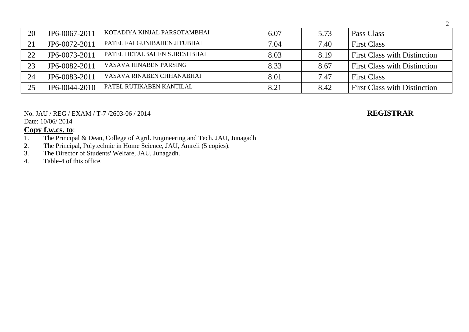| 20 | JP6-0067-2011 | KOTADIYA KINJAL PARSOTAMBHAI | 6.07 | 5.73 | Pass Class                          |
|----|---------------|------------------------------|------|------|-------------------------------------|
| 21 | JP6-0072-2011 | PATEL FALGUNIBAHEN JITUBHAI  | 7.04 | 7.40 | <b>First Class</b>                  |
| 22 | JP6-0073-2011 | PATEL HETALBAHEN SURESHBHAI  | 8.03 | 8.19 | <b>First Class with Distinction</b> |
| 23 | JP6-0082-2011 | VASAVA HINABEN PARSING       | 8.33 | 8.67 | <b>First Class with Distinction</b> |
| 24 | JP6-0083-2011 | VASAVA RINABEN CHHANABHAI    | 8.01 | 7.47 | <b>First Class</b>                  |
| 25 | JP6-0044-2010 | PATEL RUTIKABEN KANTILAL     | 8.21 | 8.42 | <b>First Class with Distinction</b> |

No. JAU / REG / EXAM / T-7 /2603-06 / 2014 **REGISTRAR**

Date: 10/06/ 2014

- 1. The Principal & Dean, College of Agril. Engineering and Tech. JAU, Junagadh
- 2. The Principal, Polytechnic in Home Science, JAU, Amreli (5 copies).
- 3. The Director of Students' Welfare, JAU, Junagadh.<br>4. Table-4 of this office.
- Table-4 of this office.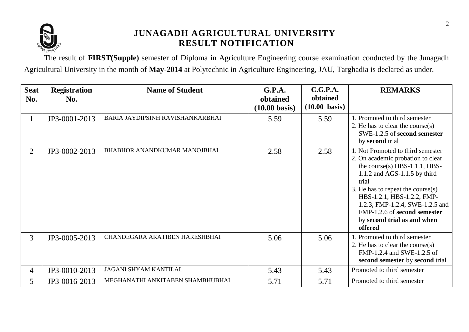

The result of **FIRST(Supple)** semester of Diploma in Agriculture Engineering course examination conducted by the Junagadh Agricultural University in the month of **May-2014** at Polytechnic in Agriculture Engineering, JAU, Targhadia is declared as under.

| <b>Seat</b><br>No. | <b>Registration</b><br>No. | <b>Name of Student</b>              | G.P.A.<br>obtained<br>$(10.00 \text{ basis})$ | C.G.P.A.<br>obtained<br>$(10.00 \text{ basis})$ | <b>REMARKS</b>                                                                                                                                                                                                                                                                                                                             |
|--------------------|----------------------------|-------------------------------------|-----------------------------------------------|-------------------------------------------------|--------------------------------------------------------------------------------------------------------------------------------------------------------------------------------------------------------------------------------------------------------------------------------------------------------------------------------------------|
| 1                  | JP3-0001-2013              | BARIA JAYDIPSINH RAVISHANKARBHAI    | 5.59                                          | 5.59                                            | 1. Promoted to third semester<br>2. He has to clear the course(s)<br>SWE-1.2.5 of second semester<br>by second trial                                                                                                                                                                                                                       |
| $\overline{2}$     | JP3-0002-2013              | <b>BHABHOR ANANDKUMAR MANOJBHAI</b> | 2.58                                          | 2.58                                            | 1. Not Promoted to third semester<br>2. On academic probation to clear<br>the course(s) $HBS-1.1.1$ , $HBS-$<br>$1.1.2$ and AGS-1.1.5 by third<br>trial<br>3. He has to repeat the course $(s)$<br>HBS-1.2.1, HBS-1.2.2, FMP-<br>1.2.3, FMP-1.2.4, SWE-1.2.5 and<br>FMP-1.2.6 of second semester<br>by second trial as and when<br>offered |
| $\overline{3}$     | JP3-0005-2013              | CHANDEGARA ARATIBEN HARESHBHAI      | 5.06                                          | 5.06                                            | Promoted to third semester<br>2. He has to clear the course $(s)$<br>FMP-1.2.4 and SWE-1.2.5 of<br>second semester by second trial                                                                                                                                                                                                         |
| 4                  | JP3-0010-2013              | <b>JAGANI SHYAM KANTILAL</b>        | 5.43                                          | 5.43                                            | Promoted to third semester                                                                                                                                                                                                                                                                                                                 |
| 5                  | JP3-0016-2013              | MEGHANATHI ANKITABEN SHAMBHUBHAI    | 5.71                                          | 5.71                                            | Promoted to third semester                                                                                                                                                                                                                                                                                                                 |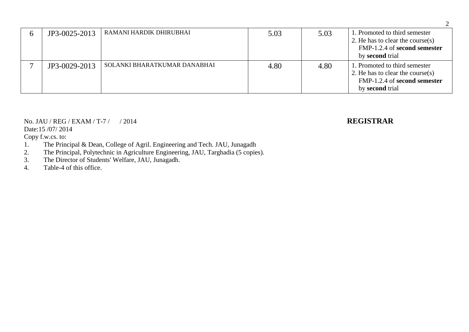| JP3-0025-2013 | RAMANI HARDIK DHIRUBHAI      | 5.03 | 5.03 | 1. Promoted to third semester<br>2. He has to clear the course(s)<br>FMP-1.2.4 of second semester<br>by <b>second</b> trial |
|---------------|------------------------------|------|------|-----------------------------------------------------------------------------------------------------------------------------|
| JP3-0029-2013 | SOLANKI BHARATKUMAR DANABHAI | 4.80 | 4.80 | 1. Promoted to third semester<br>2. He has to clear the course(s)<br>FMP-1.2.4 of second semester<br>by second trial        |

### No. JAU / REG / EXAM / T-7 / / 2014 **REGISTRAR** Date:15 /07/ 2014

## Copy f.w.cs. to:

- 1. The Principal & Dean, College of Agril. Engineering and Tech. JAU, Junagadh<br>2. The Principal, Polytechnic in Agriculture Engineering, JAU, Targhadia (5 copie
- 2. The Principal, Polytechnic in Agriculture Engineering, JAU, Targhadia (5 copies).<br>3. The Director of Students' Welfare, JAU, Junagadh.
- The Director of Students' Welfare, JAU, Junagadh.
- 4. Table-4 of this office.

### 2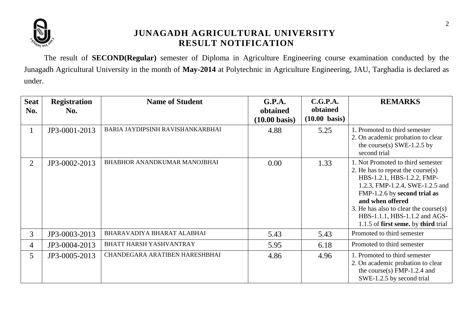

The result of **SECOND(Regular)** semester of Diploma in Agriculture Engineering course examination conducted by the Junagadh Agricultural University in the month of **May-2014** at Polytechnic in Agriculture Engineering, JAU, Targhadia is declared as under.

| <b>Seat</b><br>No. | <b>Registration</b><br>No. | <b>Name of Student</b>           | G.P.A.<br>obtained<br>$(10.00 \text{ basis})$ | C.G.P.A.<br>obtained<br>$(10.00 \text{ basis})$ | <b>REMARKS</b>                                                                                                                                                                                                                                                                                                     |
|--------------------|----------------------------|----------------------------------|-----------------------------------------------|-------------------------------------------------|--------------------------------------------------------------------------------------------------------------------------------------------------------------------------------------------------------------------------------------------------------------------------------------------------------------------|
| $\mathbf{1}$       | JP3-0001-2013              | BARIA JAYDIPSINH RAVISHANKARBHAI | 4.88                                          | 5.25                                            | 1. Promoted to third semester<br>2. On academic probation to clear<br>the course(s) SWE-1.2.5 by<br>second trial                                                                                                                                                                                                   |
| 2                  | JP3-0002-2013              | BHABHOR ANANDKUMAR MANOJBHAI     | 0.00                                          | 1.33                                            | 1. Not Promoted to third semester<br>2. He has to repeat the course $(s)$<br>HBS-1.2.1, HBS-1.2.2, FMP-<br>1.2.3, FMP-1.2.4, SWE-1.2.5 and<br>FMP-1.2.6 by second trial as<br>and when offered<br>3. He has also to clear the course $(s)$<br>HBS-1.1.1, HBS-1.1.2 and AGS-<br>1.1.5 of first seme. by third trial |
| $\overline{3}$     | JP3-0003-2013              | BHARAVADIYA BHARAT ALABHAI       | 5.43                                          | 5.43                                            | Promoted to third semester                                                                                                                                                                                                                                                                                         |
| 4                  | JP3-0004-2013              | BHATT HARSH YASHVANTRAY          | 5.95                                          | 6.18                                            | Promoted to third semester                                                                                                                                                                                                                                                                                         |
| $5^{\circ}$        | JP3-0005-2013              | CHANDEGARA ARATIBEN HARESHBHAI   | 4.86                                          | 4.96                                            | 1. Promoted to third semester<br>2. On academic probation to clear<br>the course(s) $FMP-1.2.4$ and<br>SWE-1.2.5 by second trial                                                                                                                                                                                   |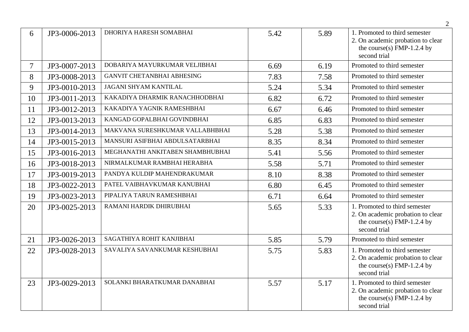|    |               |                                   |      |      | $\overline{2}$                                                                                                   |
|----|---------------|-----------------------------------|------|------|------------------------------------------------------------------------------------------------------------------|
| 6  | JP3-0006-2013 | DHORIYA HARESH SOMABHAI           | 5.42 | 5.89 | 1. Promoted to third semester<br>2. On academic probation to clear<br>the course(s) FMP-1.2.4 by<br>second trial |
| 7  | JP3-0007-2013 | DOBARIYA MAYURKUMAR VELJIBHAI     | 6.69 | 6.19 | Promoted to third semester                                                                                       |
| 8  | JP3-0008-2013 | <b>GANVIT CHETANBHAI ABHESING</b> | 7.83 | 7.58 | Promoted to third semester                                                                                       |
| 9  | JP3-0010-2013 | <b>JAGANI SHYAM KANTILAL</b>      | 5.24 | 5.34 | Promoted to third semester                                                                                       |
| 10 | JP3-0011-2013 | KAKADIYA DHARMIK RANACHHODBHAI    | 6.82 | 6.72 | Promoted to third semester                                                                                       |
| 11 | JP3-0012-2013 | KAKADIYA YAGNIK RAMESHBHAI        | 6.67 | 6.46 | Promoted to third semester                                                                                       |
| 12 | JP3-0013-2013 | KANGAD GOPALBHAI GOVINDBHAI       | 6.85 | 6.83 | Promoted to third semester                                                                                       |
| 13 | JP3-0014-2013 | MAKVANA SURESHKUMAR VALLABHBHAI   | 5.28 | 5.38 | Promoted to third semester                                                                                       |
| 14 | JP3-0015-2013 | MANSURI ASIFBHAI ABDULSATARBHAI   | 8.35 | 8.34 | Promoted to third semester                                                                                       |
| 15 | JP3-0016-2013 | MEGHANATHI ANKITABEN SHAMBHUBHAI  | 5.41 | 5.56 | Promoted to third semester                                                                                       |
| 16 | JP3-0018-2013 | NIRMALKUMAR RAMBHAI HERABHA       | 5.58 | 5.71 | Promoted to third semester                                                                                       |
| 17 | JP3-0019-2013 | PANDYA KULDIP MAHENDRAKUMAR       | 8.10 | 8.38 | Promoted to third semester                                                                                       |
| 18 | JP3-0022-2013 | PATEL VAIBHAVKUMAR KANUBHAI       | 6.80 | 6.45 | Promoted to third semester                                                                                       |
| 19 | JP3-0023-2013 | PIPALIYA TARUN RAMESHBHAI         | 6.71 | 6.64 | Promoted to third semester                                                                                       |
| 20 | JP3-0025-2013 | RAMANI HARDIK DHIRUBHAI           | 5.65 | 5.33 | 1. Promoted to third semester<br>2. On academic probation to clear<br>the course(s) FMP-1.2.4 by<br>second trial |
| 21 | JP3-0026-2013 | SAGATHIYA ROHIT KANJIBHAI         | 5.85 | 5.79 | Promoted to third semester                                                                                       |
| 22 | JP3-0028-2013 | SAVALIYA SAVANKUMAR KESHUBHAI     | 5.75 | 5.83 | 1. Promoted to third semester<br>2. On academic probation to clear<br>the course(s) FMP-1.2.4 by<br>second trial |
| 23 | JP3-0029-2013 | SOLANKI BHARATKUMAR DANABHAI      | 5.57 | 5.17 | 1. Promoted to third semester<br>2. On academic probation to clear<br>the course(s) FMP-1.2.4 by<br>second trial |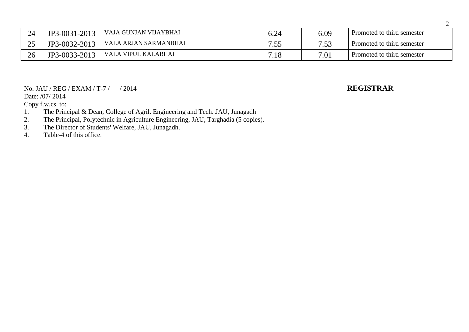| 24                   | JP3-0031-2013 | VAJA GUNJAN VIJAYBHAI | 6.24 | 6.09            | Promoted to third semester |
|----------------------|---------------|-----------------------|------|-----------------|----------------------------|
| $\cap \subset$<br>رے | JP3-0032-2013 | VALA ARJAN SARMANBHAI | 7.55 | $75^\circ$<br>- | Promoted to third semester |
| 26                   | JP3-0033-2013 | VALA VIPUL KALABHAI   | 7.18 | 7.01            | Promoted to third semester |

### No. JAU / REG / EXAM / T-7 / / 2014 **REGISTRAR**

Date: /07/ 2014

Copy f.w.cs. to:

- 1. The Principal & Dean, College of Agril. Engineering and Tech. JAU, Junagadh
- 2. The Principal, Polytechnic in Agriculture Engineering, JAU, Targhadia (5 copies).
- 3. The Director of Students' Welfare, JAU, Junagadh.<br>4. Table-4 of this office.

Table-4 of this office.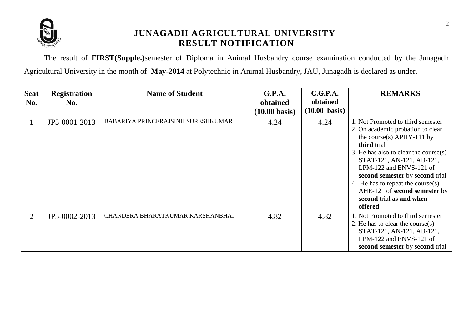

The result of **FIRST(Supple.)**semester of Diploma in Animal Husbandry course examination conducted by the Junagadh Agricultural University in the month of **May-2014** at Polytechnic in Animal Husbandry, JAU, Junagadh is declared as under.

| <b>Seat</b><br>No. | <b>Registration</b><br>No. | <b>Name of Student</b>             | G.P.A.<br>obtained<br>$(10.00 \text{ basis})$ | C.G.P.A.<br>obtained<br>$(10.00 \text{ basis})$ | <b>REMARKS</b>                                                                                                                                                                                                                                                                                                                                                           |
|--------------------|----------------------------|------------------------------------|-----------------------------------------------|-------------------------------------------------|--------------------------------------------------------------------------------------------------------------------------------------------------------------------------------------------------------------------------------------------------------------------------------------------------------------------------------------------------------------------------|
|                    | JP5-0001-2013              | BABARIYA PRINCERAJSINH SURESHKUMAR | 4.24                                          | 4.24                                            | 1. Not Promoted to third semester<br>2. On academic probation to clear<br>the course(s) $APHY-111$ by<br>third trial<br>3. He has also to clear the course $(s)$<br>STAT-121, AN-121, AB-121,<br>LPM-122 and ENVS-121 of<br>second semester by second trial<br>4. He has to repeat the course(s)<br>AHE-121 of second semester by<br>second trial as and when<br>offered |
| 2                  | JP5-0002-2013              | CHANDERA BHARATKUMAR KARSHANBHAI   | 4.82                                          | 4.82                                            | 1. Not Promoted to third semester<br>2. He has to clear the course $(s)$<br>STAT-121, AN-121, AB-121,<br>LPM-122 and ENVS-121 of<br>second semester by second trial                                                                                                                                                                                                      |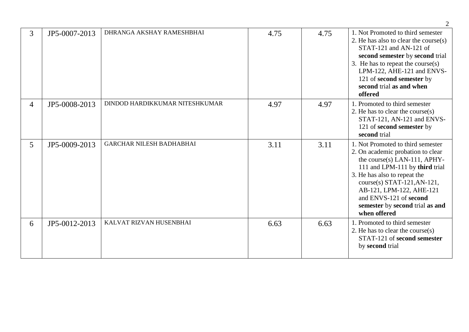| $\overline{3}$ | JP5-0007-2013 | DHRANGA AKSHAY RAMESHBHAI       | 4.75 | 4.75 | 1. Not Promoted to third semester<br>2. He has also to clear the course $(s)$<br>STAT-121 and AN-121 of<br>second semester by second trial<br>3. He has to repeat the course $(s)$<br>LPM-122, AHE-121 and ENVS-<br>121 of second semester by<br>second trial as and when<br>offered                               |
|----------------|---------------|---------------------------------|------|------|--------------------------------------------------------------------------------------------------------------------------------------------------------------------------------------------------------------------------------------------------------------------------------------------------------------------|
| $\overline{4}$ | JP5-0008-2013 | DINDOD HARDIKKUMAR NITESHKUMAR  | 4.97 | 4.97 | 1. Promoted to third semester<br>2. He has to clear the course $(s)$<br>STAT-121, AN-121 and ENVS-<br>121 of second semester by<br>second trial                                                                                                                                                                    |
| 5              | JP5-0009-2013 | <b>GARCHAR NILESH BADHABHAI</b> | 3.11 | 3.11 | 1. Not Promoted to third semester<br>2. On academic probation to clear<br>the course(s) LAN-111, APHY-<br>111 and LPM-111 by third trial<br>3. He has also to repeat the<br>$course(s)$ STAT-121, AN-121,<br>AB-121, LPM-122, AHE-121<br>and ENVS-121 of second<br>semester by second trial as and<br>when offered |
| 6              | JP5-0012-2013 | KALVAT RIZVAN HUSENBHAI         | 6.63 | 6.63 | 1. Promoted to third semester<br>2. He has to clear the course $(s)$<br>STAT-121 of second semester<br>by second trial                                                                                                                                                                                             |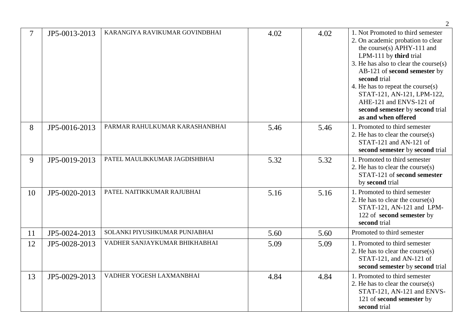|    |               |                                |      |      | 2                                                                                                                                                                                                                                                                                                                                                                                    |
|----|---------------|--------------------------------|------|------|--------------------------------------------------------------------------------------------------------------------------------------------------------------------------------------------------------------------------------------------------------------------------------------------------------------------------------------------------------------------------------------|
|    | JP5-0013-2013 | KARANGIYA RAVIKUMAR GOVINDBHAI | 4.02 | 4.02 | 1. Not Promoted to third semester<br>2. On academic probation to clear<br>the course(s) $APHY-111$ and<br>LPM-111 by third trial<br>3. He has also to clear the course(s)<br>AB-121 of second semester by<br>second trial<br>4. He has to repeat the course $(s)$<br>STAT-121, AN-121, LPM-122,<br>AHE-121 and ENVS-121 of<br>second semester by second trial<br>as and when offered |
| 8  | JP5-0016-2013 | PARMAR RAHULKUMAR KARASHANBHAI | 5.46 | 5.46 | 1. Promoted to third semester<br>2. He has to clear the course $(s)$<br>STAT-121 and AN-121 of<br>second semester by second trial                                                                                                                                                                                                                                                    |
| 9  | JP5-0019-2013 | PATEL MAULIKKUMAR JAGDISHBHAI  | 5.32 | 5.32 | 1. Promoted to third semester<br>2. He has to clear the course $(s)$<br>STAT-121 of second semester<br>by second trial                                                                                                                                                                                                                                                               |
| 10 | JP5-0020-2013 | PATEL NAITIKKUMAR RAJUBHAI     | 5.16 | 5.16 | 1. Promoted to third semester<br>2. He has to clear the course $(s)$<br>STAT-121, AN-121 and LPM-<br>122 of second semester by<br>second trial                                                                                                                                                                                                                                       |
| 11 | JP5-0024-2013 | SOLANKI PIYUSHKUMAR PUNJABHAI  | 5.60 | 5.60 | Promoted to third semester                                                                                                                                                                                                                                                                                                                                                           |
| 12 | JP5-0028-2013 | VADHER SANJAYKUMAR BHIKHABHAI  | 5.09 | 5.09 | 1. Promoted to third semester<br>2. He has to clear the course $(s)$<br>STAT-121, and AN-121 of<br>second semester by second trial                                                                                                                                                                                                                                                   |
| 13 | JP5-0029-2013 | VADHER YOGESH LAXMANBHAI       | 4.84 | 4.84 | 1. Promoted to third semester<br>2. He has to clear the course $(s)$<br>STAT-121, AN-121 and ENVS-<br>121 of second semester by<br>second trial                                                                                                                                                                                                                                      |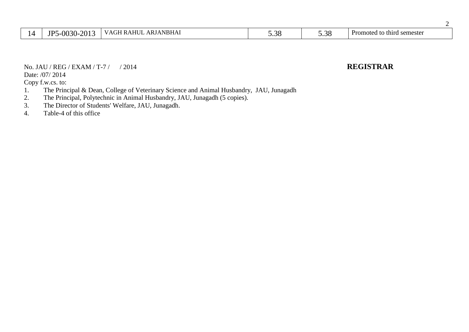|  | 2013<br>ID٬<br>-0030- | NBHA <sub>1</sub><br>$\Lambda$ LIT IT<br>ב ו<br>Al Th<br>$\rightarrow$<br>. . | $\sim$<br>. .<br>,., c | $\cap$<br>J.J0 | Promotec<br>ı semester<br>to third |
|--|-----------------------|-------------------------------------------------------------------------------|------------------------|----------------|------------------------------------|
|--|-----------------------|-------------------------------------------------------------------------------|------------------------|----------------|------------------------------------|

No. JAU / REG / EXAM / T-7 / / 2014 **REGISTRAR**

### Date: /07/ 2014

- 1. The Principal & Dean, College of Veterinary Science and Animal Husbandry, JAU, Junagadh<br>2. The Principal, Polytechnic in Animal Husbandry, JAU, Junagadh (5 copies).
- 2. The Principal, Polytechnic in Animal Husbandry, JAU, Junagadh (5 copies).<br>3. The Director of Students' Welfare, JAU, Junagadh.
- 3. The Director of Students' Welfare, JAU, Junagadh.<br>4. Table-4 of this office
- Table-4 of this office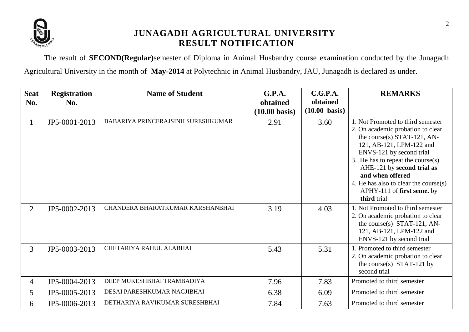

The result of **SECOND(Regular)**semester of Diploma in Animal Husbandry course examination conducted by the Junagadh Agricultural University in the month of **May-2014** at Polytechnic in Animal Husbandry, JAU, Junagadh is declared as under.

| <b>Seat</b>    | <b>Registration</b> | <b>Name of Student</b>             | G.P.A.                              | C.G.P.A.                            | <b>REMARKS</b>                                                                                                                                                                                                                                                                                                                                |
|----------------|---------------------|------------------------------------|-------------------------------------|-------------------------------------|-----------------------------------------------------------------------------------------------------------------------------------------------------------------------------------------------------------------------------------------------------------------------------------------------------------------------------------------------|
| No.            | No.                 |                                    | obtained<br>$(10.00 \text{ basis})$ | obtained<br>$(10.00 \text{ basis})$ |                                                                                                                                                                                                                                                                                                                                               |
| $\mathbf{1}$   | JP5-0001-2013       | BABARIYA PRINCERAJSINH SURESHKUMAR | 2.91                                | 3.60                                | 1. Not Promoted to third semester<br>2. On academic probation to clear<br>the course(s) STAT-121, AN-<br>121, AB-121, LPM-122 and<br>ENVS-121 by second trial<br>3. He has to repeat the course $(s)$<br>AHE-121 by second trial as<br>and when offered<br>4. He has also to clear the course(s)<br>APHY-111 of first seme. by<br>third trial |
| $\overline{2}$ | JP5-0002-2013       | CHANDERA BHARATKUMAR KARSHANBHAI   | 3.19                                | 4.03                                | 1. Not Promoted to third semester<br>2. On academic probation to clear<br>the course(s) STAT-121, AN-<br>121, AB-121, LPM-122 and<br>ENVS-121 by second trial                                                                                                                                                                                 |
| $\overline{3}$ | JP5-0003-2013       | CHETARIYA RAHUL ALABHAI            | 5.43                                | 5.31                                | 1. Promoted to third semester<br>2. On academic probation to clear<br>the course(s) STAT-121 by<br>second trial                                                                                                                                                                                                                               |
| 4              | JP5-0004-2013       | DEEP MUKESHBHAI TRAMBADIYA         | 7.96                                | 7.83                                | Promoted to third semester                                                                                                                                                                                                                                                                                                                    |
| 5              | JP5-0005-2013       | DESAI PARESHKUMAR NAGJIBHAI        | 6.38                                | 6.09                                | Promoted to third semester                                                                                                                                                                                                                                                                                                                    |
| 6              | JP5-0006-2013       | DETHARIYA RAVIKUMAR SURESHBHAI     | 7.84                                | 7.63                                | Promoted to third semester                                                                                                                                                                                                                                                                                                                    |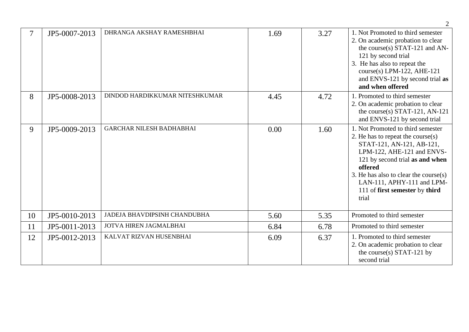|    |               |                                 |      |      | 2                                                                                                                                                                                                                                                                                                    |
|----|---------------|---------------------------------|------|------|------------------------------------------------------------------------------------------------------------------------------------------------------------------------------------------------------------------------------------------------------------------------------------------------------|
| 7  | JP5-0007-2013 | DHRANGA AKSHAY RAMESHBHAI       | 1.69 | 3.27 | 1. Not Promoted to third semester<br>2. On academic probation to clear<br>the course(s) STAT-121 and AN-<br>121 by second trial<br>3. He has also to repeat the<br>course(s) LPM-122, AHE-121<br>and ENVS-121 by second trial as<br>and when offered                                                 |
| 8  | JP5-0008-2013 | DINDOD HARDIKKUMAR NITESHKUMAR  | 4.45 | 4.72 | 1. Promoted to third semester<br>2. On academic probation to clear<br>the course(s) STAT-121, AN-121<br>and ENVS-121 by second trial                                                                                                                                                                 |
| 9  | JP5-0009-2013 | <b>GARCHAR NILESH BADHABHAI</b> | 0.00 | 1.60 | 1. Not Promoted to third semester<br>2. He has to repeat the course(s)<br>STAT-121, AN-121, AB-121,<br>LPM-122, AHE-121 and ENVS-<br>121 by second trial as and when<br>offered<br>3. He has also to clear the course $(s)$<br>LAN-111, APHY-111 and LPM-<br>111 of first semester by third<br>trial |
| 10 | JP5-0010-2013 | JADEJA BHAVDIPSINH CHANDUBHA    | 5.60 | 5.35 | Promoted to third semester                                                                                                                                                                                                                                                                           |
| 11 | JP5-0011-2013 | JOTVA HIREN JAGMALBHAI          | 6.84 | 6.78 | Promoted to third semester                                                                                                                                                                                                                                                                           |
| 12 | JP5-0012-2013 | KALVAT RIZVAN HUSENBHAI         | 6.09 | 6.37 | 1. Promoted to third semester<br>2. On academic probation to clear<br>the course(s) STAT-121 by<br>second trial                                                                                                                                                                                      |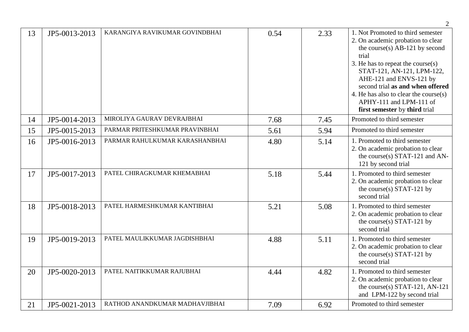|    |               |                                |      |      | $\overline{2}$                                                                                                                                                                                                                                                                                                                                                 |
|----|---------------|--------------------------------|------|------|----------------------------------------------------------------------------------------------------------------------------------------------------------------------------------------------------------------------------------------------------------------------------------------------------------------------------------------------------------------|
| 13 | JP5-0013-2013 | KARANGIYA RAVIKUMAR GOVINDBHAI | 0.54 | 2.33 | 1. Not Promoted to third semester<br>2. On academic probation to clear<br>the course $(s)$ AB-121 by second<br>trial<br>3. He has to repeat the course $(s)$<br>STAT-121, AN-121, LPM-122,<br>AHE-121 and ENVS-121 by<br>second trial as and when offered<br>4. He has also to clear the course(s)<br>APHY-111 and LPM-111 of<br>first semester by third trial |
| 14 | JP5-0014-2013 | MIROLIYA GAURAV DEVRAJBHAI     | 7.68 | 7.45 | Promoted to third semester                                                                                                                                                                                                                                                                                                                                     |
| 15 | JP5-0015-2013 | PARMAR PRITESHKUMAR PRAVINBHAI | 5.61 | 5.94 | Promoted to third semester                                                                                                                                                                                                                                                                                                                                     |
| 16 | JP5-0016-2013 | PARMAR RAHULKUMAR KARASHANBHAI | 4.80 | 5.14 | 1. Promoted to third semester<br>2. On academic probation to clear<br>the course(s) STAT-121 and AN-<br>121 by second trial                                                                                                                                                                                                                                    |
| 17 | JP5-0017-2013 | PATEL CHIRAGKUMAR KHEMABHAI    | 5.18 | 5.44 | 1. Promoted to third semester<br>2. On academic probation to clear<br>the course(s) STAT-121 by<br>second trial                                                                                                                                                                                                                                                |
| 18 | JP5-0018-2013 | PATEL HARMESHKUMAR KANTIBHAI   | 5.21 | 5.08 | 1. Promoted to third semester<br>2. On academic probation to clear<br>the course(s) STAT-121 by<br>second trial                                                                                                                                                                                                                                                |
| 19 | JP5-0019-2013 | PATEL MAULIKKUMAR JAGDISHBHAI  | 4.88 | 5.11 | 1. Promoted to third semester<br>2. On academic probation to clear<br>the course(s) STAT-121 by<br>second trial                                                                                                                                                                                                                                                |
| 20 | JP5-0020-2013 | PATEL NAITIKKUMAR RAJUBHAI     | 4.44 | 4.82 | 1. Promoted to third semester<br>2. On academic probation to clear<br>the course(s) STAT-121, AN-121<br>and LPM-122 by second trial                                                                                                                                                                                                                            |
| 21 | JP5-0021-2013 | RATHOD ANANDKUMAR MADHAVJIBHAI | 7.09 | 6.92 | Promoted to third semester                                                                                                                                                                                                                                                                                                                                     |